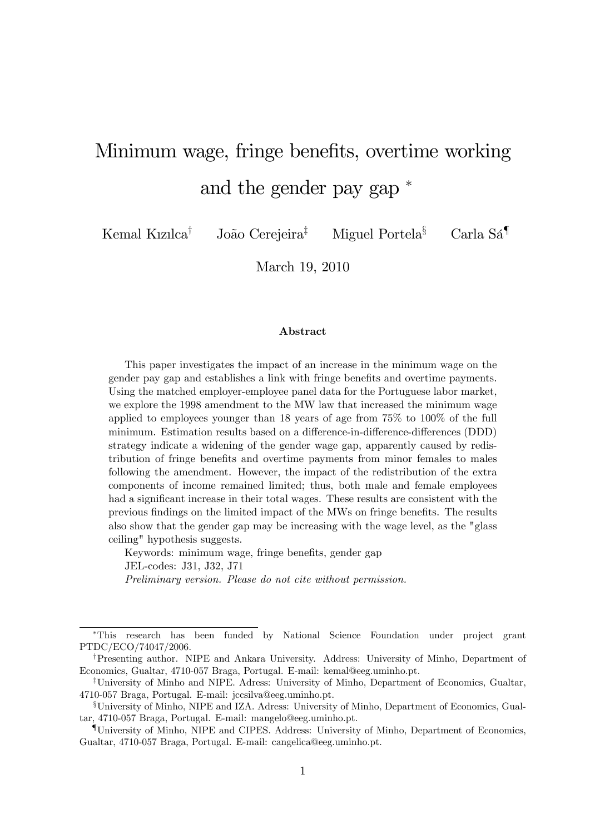# Minimum wage, fringe benefits, overtime working and the gender pay gap

Kemal Kızılca<sup>†</sup> João Cerejeira<sup>‡</sup> Miguel Portela<sup>§</sup> Carla Sá<sup>¶</sup>

March 19, 2010

#### Abstract

This paper investigates the impact of an increase in the minimum wage on the gender pay gap and establishes a link with fringe benefits and overtime payments. Using the matched employer-employee panel data for the Portuguese labor market, we explore the 1998 amendment to the MW law that increased the minimum wage applied to employees younger than 18 years of age from 75% to 100% of the full minimum. Estimation results based on a difference-in-difference-differences (DDD) strategy indicate a widening of the gender wage gap, apparently caused by redistribution of fringe benefits and overtime payments from minor females to males following the amendment. However, the impact of the redistribution of the extra components of income remained limited; thus, both male and female employees had a significant increase in their total wages. These results are consistent with the previous findings on the limited impact of the MWs on fringe benefits. The results also show that the gender gap may be increasing with the wage level, as the "glass ceiling" hypothesis suggests.

Keywords: minimum wage, fringe benefits, gender gap JEL-codes: J31, J32, J71 Preliminary version. Please do not cite without permission.

This research has been funded by National Science Foundation under project grant PTDC/ECO/74047/2006.

<sup>&</sup>lt;sup>†</sup>Presenting author. NIPE and Ankara University. Address: University of Minho, Department of Economics, Gualtar, 4710-057 Braga, Portugal. E-mail: kemal@eeg.uminho.pt.

<sup>&</sup>lt;sup>‡</sup>University of Minho and NIPE. Adress: University of Minho, Department of Economics, Gualtar, 4710-057 Braga, Portugal. E-mail: jccsilva@eeg.uminho.pt.

xUniversity of Minho, NIPE and IZA. Adress: University of Minho, Department of Economics, Gualtar, 4710-057 Braga, Portugal. E-mail: mangelo@eeg.uminho.pt.

<sup>{</sup>University of Minho, NIPE and CIPES. Address: University of Minho, Department of Economics, Gualtar, 4710-057 Braga, Portugal. E-mail: cangelica@eeg.uminho.pt.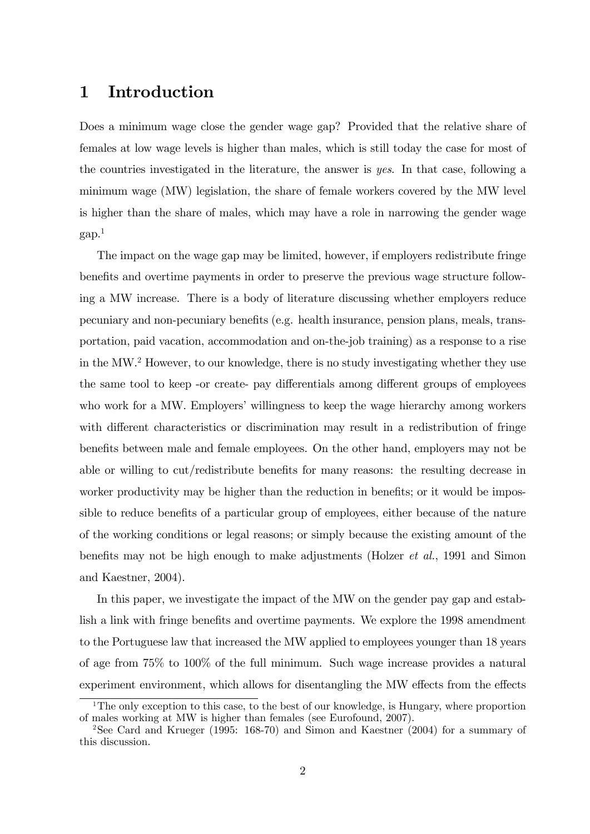#### 1 Introduction

Does a minimum wage close the gender wage gap? Provided that the relative share of females at low wage levels is higher than males, which is still today the case for most of the countries investigated in the literature, the answer is yes. In that case, following a minimum wage (MW) legislation, the share of female workers covered by the MW level is higher than the share of males, which may have a role in narrowing the gender wage  $\gamma$ gap.<sup>1</sup>

The impact on the wage gap may be limited, however, if employers redistribute fringe benefits and overtime payments in order to preserve the previous wage structure following a MW increase. There is a body of literature discussing whether employers reduce pecuniary and non-pecuniary beneÖts (e.g. health insurance, pension plans, meals, transportation, paid vacation, accommodation and on-the-job training) as a response to a rise in the MW.<sup>2</sup> However, to our knowledge, there is no study investigating whether they use the same tool to keep -or create- pay differentials among different groups of employees who work for a MW. Employers' willingness to keep the wage hierarchy among workers with different characteristics or discrimination may result in a redistribution of fringe benefits between male and female employees. On the other hand, employers may not be able or willing to cut/redistribute benefits for many reasons: the resulting decrease in worker productivity may be higher than the reduction in benefits; or it would be impossible to reduce benefits of a particular group of employees, either because of the nature of the working conditions or legal reasons; or simply because the existing amount of the benefits may not be high enough to make adjustments (Holzer *et al.*, 1991 and Simon and Kaestner, 2004).

In this paper, we investigate the impact of the MW on the gender pay gap and establish a link with fringe benefits and overtime payments. We explore the 1998 amendment to the Portuguese law that increased the MW applied to employees younger than 18 years of age from 75% to 100% of the full minimum. Such wage increase provides a natural experiment environment, which allows for disentangling the MW effects from the effects

<sup>&</sup>lt;sup>1</sup>The only exception to this case, to the best of our knowledge, is Hungary, where proportion of males working at MW is higher than females (see Eurofound, 2007).

<sup>2</sup>See Card and Krueger (1995: 168-70) and Simon and Kaestner (2004) for a summary of this discussion.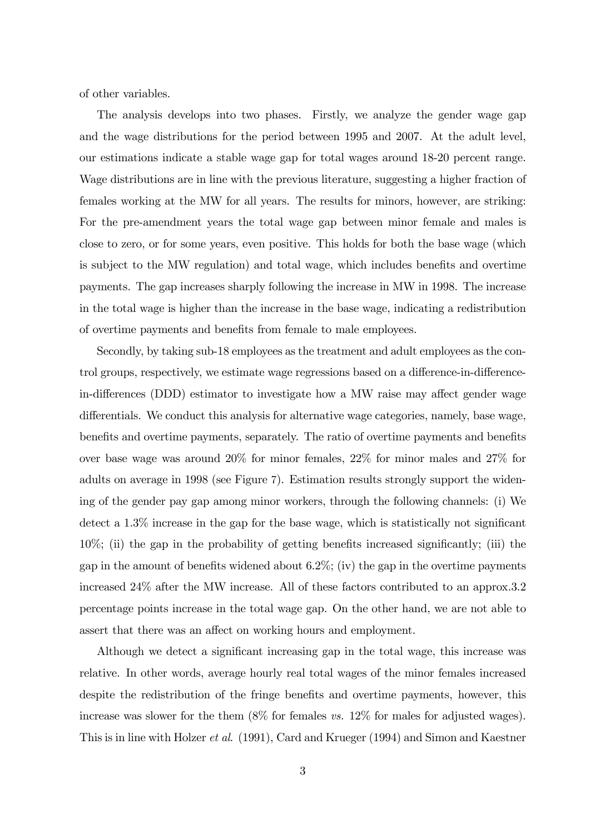of other variables.

The analysis develops into two phases. Firstly, we analyze the gender wage gap and the wage distributions for the period between 1995 and 2007. At the adult level, our estimations indicate a stable wage gap for total wages around 18-20 percent range. Wage distributions are in line with the previous literature, suggesting a higher fraction of females working at the MW for all years. The results for minors, however, are striking: For the pre-amendment years the total wage gap between minor female and males is close to zero, or for some years, even positive. This holds for both the base wage (which is subject to the MW regulation) and total wage, which includes benefits and overtime payments. The gap increases sharply following the increase in MW in 1998. The increase in the total wage is higher than the increase in the base wage, indicating a redistribution of overtime payments and benefits from female to male employees.

Secondly, by taking sub-18 employees as the treatment and adult employees as the control groups, respectively, we estimate wage regressions based on a difference-in-differencein-differences (DDD) estimator to investigate how a MW raise may affect gender wage differentials. We conduct this analysis for alternative wage categories, namely, base wage, benefits and overtime payments, separately. The ratio of overtime payments and benefits over base wage was around 20% for minor females, 22% for minor males and 27% for adults on average in 1998 (see Figure 7). Estimation results strongly support the widening of the gender pay gap among minor workers, through the following channels: (i) We detect a  $1.3\%$  increase in the gap for the base wage, which is statistically not significant  $10\%$ ; (ii) the gap in the probability of getting benefits increased significantly; (iii) the gap in the amount of benefits widened about 6.2%; (iv) the gap in the overtime payments increased 24% after the MW increase. All of these factors contributed to an approx.3.2 percentage points increase in the total wage gap. On the other hand, we are not able to assert that there was an affect on working hours and employment.

Although we detect a significant increasing gap in the total wage, this increase was relative. In other words, average hourly real total wages of the minor females increased despite the redistribution of the fringe benefits and overtime payments, however, this increase was slower for the them (8% for females vs. 12% for males for adjusted wages). This is in line with Holzer et al. (1991), Card and Krueger (1994) and Simon and Kaestner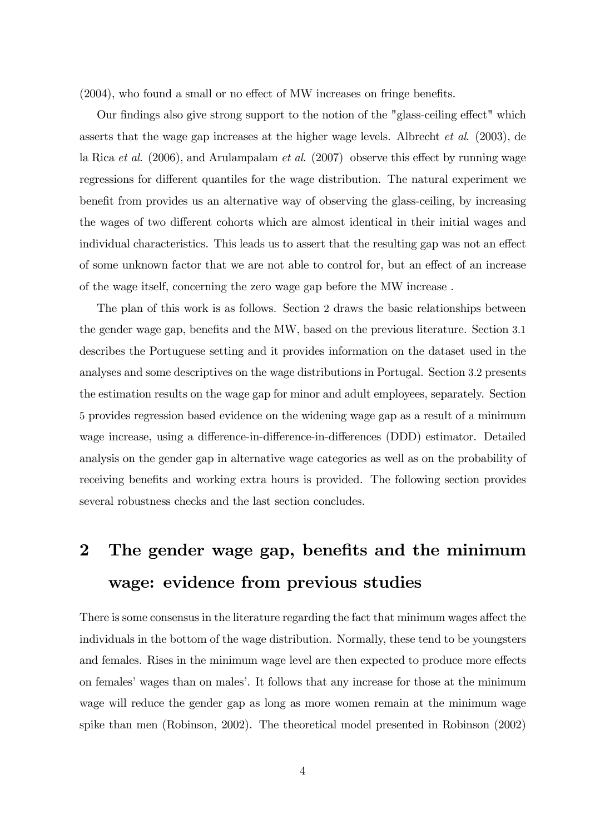$(2004)$ , who found a small or no effect of MW increases on fringe benefits.

Our findings also give strong support to the notion of the "glass-ceiling effect" which asserts that the wage gap increases at the higher wage levels. Albrecht et al. (2003), de la Rica et al.  $(2006)$ , and Arulampalam et al.  $(2007)$  observe this effect by running wage regressions for different quantiles for the wage distribution. The natural experiment we benefit from provides us an alternative way of observing the glass-ceiling, by increasing the wages of two different cohorts which are almost identical in their initial wages and individual characteristics. This leads us to assert that the resulting gap was not an effect of some unknown factor that we are not able to control for, but an effect of an increase of the wage itself, concerning the zero wage gap before the MW increase .

The plan of this work is as follows. Section 2 draws the basic relationships between the gender wage gap, benefits and the MW, based on the previous literature. Section 3.1 describes the Portuguese setting and it provides information on the dataset used in the analyses and some descriptives on the wage distributions in Portugal. Section 3.2 presents the estimation results on the wage gap for minor and adult employees, separately. Section 5 provides regression based evidence on the widening wage gap as a result of a minimum wage increase, using a difference-in-difference-in-differences (DDD) estimator. Detailed analysis on the gender gap in alternative wage categories as well as on the probability of receiving benefits and working extra hours is provided. The following section provides several robustness checks and the last section concludes.

## 2 The gender wage gap, benefits and the minimum wage: evidence from previous studies

There is some consensus in the literature regarding the fact that minimum wages affect the individuals in the bottom of the wage distribution. Normally, these tend to be youngsters and females. Rises in the minimum wage level are then expected to produce more effects on females' wages than on males'. It follows that any increase for those at the minimum wage will reduce the gender gap as long as more women remain at the minimum wage spike than men (Robinson, 2002). The theoretical model presented in Robinson (2002)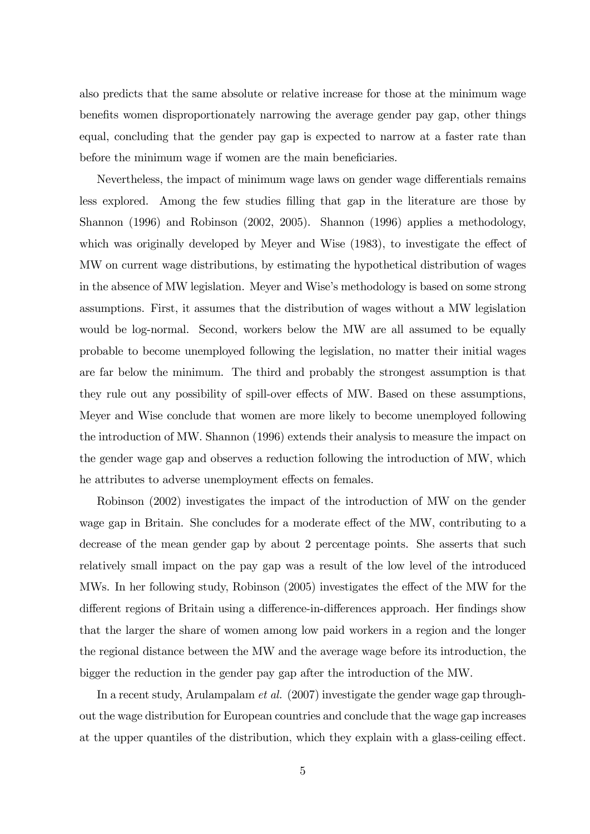also predicts that the same absolute or relative increase for those at the minimum wage benefits women disproportionately narrowing the average gender pay gap, other things equal, concluding that the gender pay gap is expected to narrow at a faster rate than before the minimum wage if women are the main beneficiaries.

Nevertheless, the impact of minimum wage laws on gender wage differentials remains less explored. Among the few studies Ölling that gap in the literature are those by Shannon (1996) and Robinson (2002, 2005). Shannon (1996) applies a methodology, which was originally developed by Meyer and Wise  $(1983)$ , to investigate the effect of MW on current wage distributions, by estimating the hypothetical distribution of wages in the absence of MW legislation. Meyer and Wise's methodology is based on some strong assumptions. First, it assumes that the distribution of wages without a MW legislation would be log-normal. Second, workers below the MW are all assumed to be equally probable to become unemployed following the legislation, no matter their initial wages are far below the minimum. The third and probably the strongest assumption is that they rule out any possibility of spill-over effects of MW. Based on these assumptions, Meyer and Wise conclude that women are more likely to become unemployed following the introduction of MW. Shannon (1996) extends their analysis to measure the impact on the gender wage gap and observes a reduction following the introduction of MW, which he attributes to adverse unemployment effects on females.

Robinson (2002) investigates the impact of the introduction of MW on the gender wage gap in Britain. She concludes for a moderate effect of the MW, contributing to a decrease of the mean gender gap by about 2 percentage points. She asserts that such relatively small impact on the pay gap was a result of the low level of the introduced MWs. In her following study, Robinson  $(2005)$  investigates the effect of the MW for the different regions of Britain using a difference-in-differences approach. Her findings show that the larger the share of women among low paid workers in a region and the longer the regional distance between the MW and the average wage before its introduction, the bigger the reduction in the gender pay gap after the introduction of the MW.

In a recent study, Arulampalam et al. (2007) investigate the gender wage gap throughout the wage distribution for European countries and conclude that the wage gap increases at the upper quantiles of the distribution, which they explain with a glass-ceiling effect.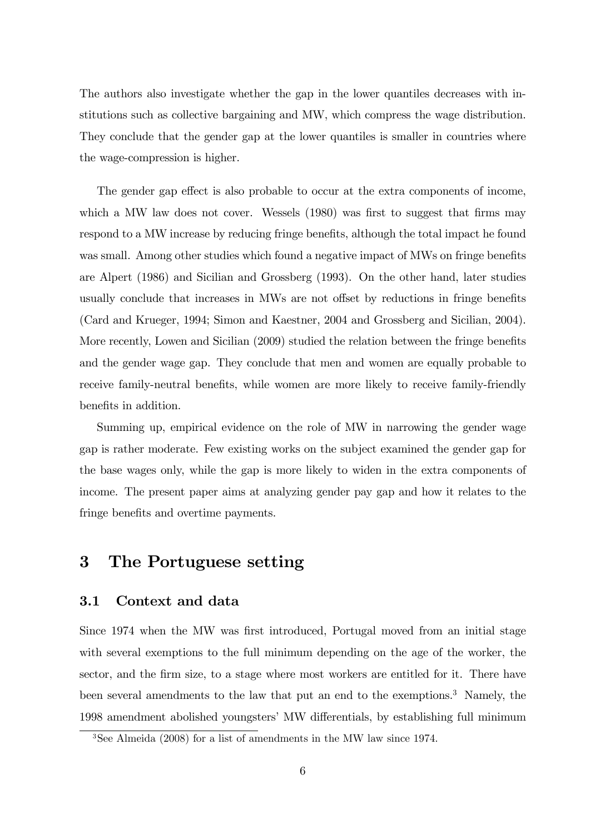The authors also investigate whether the gap in the lower quantiles decreases with institutions such as collective bargaining and MW, which compress the wage distribution. They conclude that the gender gap at the lower quantiles is smaller in countries where the wage-compression is higher.

The gender gap effect is also probable to occur at the extra components of income, which a MW law does not cover. Wessels  $(1980)$  was first to suggest that firms may respond to a MW increase by reducing fringe benefits, although the total impact he found was small. Among other studies which found a negative impact of MWs on fringe benefits are Alpert (1986) and Sicilian and Grossberg (1993). On the other hand, later studies usually conclude that increases in MWs are not offset by reductions in fringe benefits (Card and Krueger, 1994; Simon and Kaestner, 2004 and Grossberg and Sicilian, 2004). More recently, Lowen and Sicilian  $(2009)$  studied the relation between the fringe benefits and the gender wage gap. They conclude that men and women are equally probable to receive family-neutral benefits, while women are more likely to receive family-friendly benefits in addition.

Summing up, empirical evidence on the role of MW in narrowing the gender wage gap is rather moderate. Few existing works on the subject examined the gender gap for the base wages only, while the gap is more likely to widen in the extra components of income. The present paper aims at analyzing gender pay gap and how it relates to the fringe benefits and overtime payments.

### 3 The Portuguese setting

#### 3.1 Context and data

Since 1974 when the MW was first introduced, Portugal moved from an initial stage with several exemptions to the full minimum depending on the age of the worker, the sector, and the firm size, to a stage where most workers are entitled for it. There have been several amendments to the law that put an end to the exemptions.<sup>3</sup> Namely, the 1998 amendment abolished youngsters' MW differentials, by establishing full minimum

<sup>3</sup>See Almeida (2008) for a list of amendments in the MW law since 1974.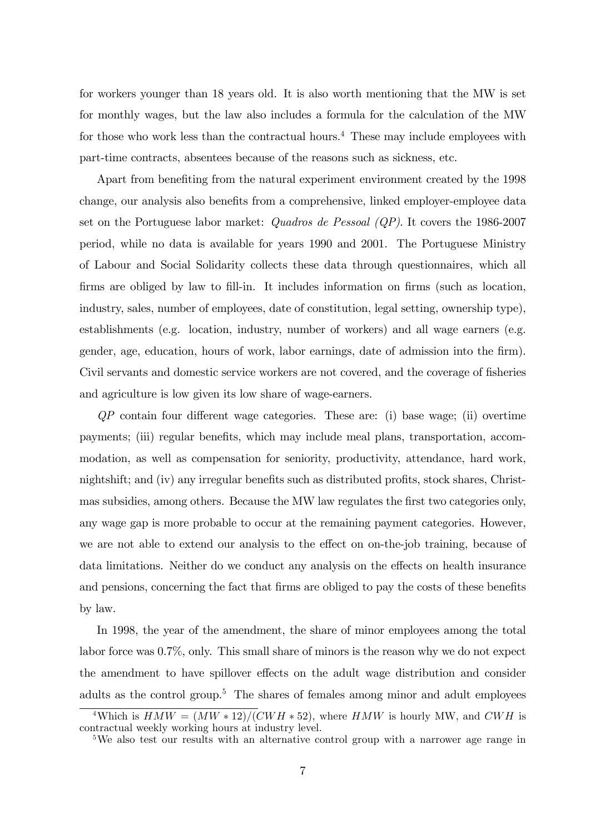for workers younger than 18 years old. It is also worth mentioning that the MW is set for monthly wages, but the law also includes a formula for the calculation of the MW for those who work less than the contractual hours.<sup>4</sup> These may include employees with part-time contracts, absentees because of the reasons such as sickness, etc.

Apart from benefiting from the natural experiment environment created by the 1998 change, our analysis also benefits from a comprehensive, linked employer-employee data set on the Portuguese labor market: Quadros de Pessoal (QP). It covers the 1986-2007 period, while no data is available for years 1990 and 2001. The Portuguese Ministry of Labour and Social Solidarity collects these data through questionnaires, which all firms are obliged by law to fill-in. It includes information on firms (such as location, industry, sales, number of employees, date of constitution, legal setting, ownership type), establishments (e.g. location, industry, number of workers) and all wage earners (e.g. gender, age, education, hours of work, labor earnings, date of admission into the firm). Civil servants and domestic service workers are not covered, and the coverage of fisheries and agriculture is low given its low share of wage-earners.

 $QP$  contain four different wage categories. These are: (i) base wage; (ii) overtime payments; (iii) regular benefits, which may include meal plans, transportation, accommodation, as well as compensation for seniority, productivity, attendance, hard work, nightshift; and (iv) any irregular benefits such as distributed profits, stock shares, Christmas subsidies, among others. Because the MW law regulates the first two categories only, any wage gap is more probable to occur at the remaining payment categories. However, we are not able to extend our analysis to the effect on on-the-job training, because of data limitations. Neither do we conduct any analysis on the effects on health insurance and pensions, concerning the fact that firms are obliged to pay the costs of these benefits by law.

In 1998, the year of the amendment, the share of minor employees among the total labor force was 0.7%, only. This small share of minors is the reason why we do not expect the amendment to have spillover effects on the adult wage distribution and consider adults as the control group.<sup>5</sup> The shares of females among minor and adult employees

<sup>&</sup>lt;sup>4</sup>Which is  $HMW = (MW * 12)/(CWH * 52)$ , where  $HMW$  is hourly MW, and CWH is contractual weekly working hours at industry level.

<sup>&</sup>lt;sup>5</sup>We also test our results with an alternative control group with a narrower age range in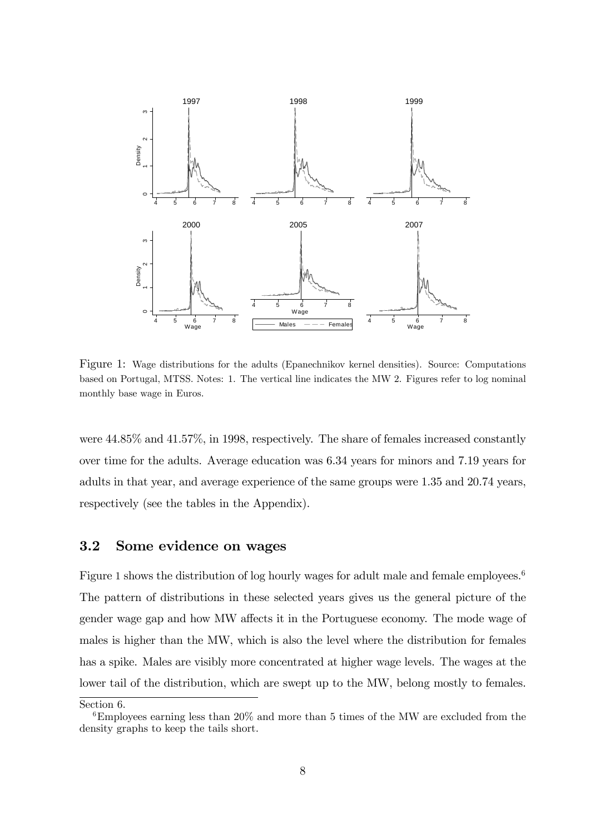

Figure 1: Wage distributions for the adults (Epanechnikov kernel densities). Source: Computations based on Portugal, MTSS. Notes: 1. The vertical line indicates the MW 2. Figures refer to log nominal monthly base wage in Euros.

were 44.85% and 41.57%, in 1998, respectively. The share of females increased constantly over time for the adults. Average education was 6.34 years for minors and 7.19 years for adults in that year, and average experience of the same groups were 1.35 and 20.74 years, respectively (see the tables in the Appendix).

#### 3.2 Some evidence on wages

Figure 1 shows the distribution of log hourly wages for adult male and female employees.<sup>6</sup> The pattern of distributions in these selected years gives us the general picture of the gender wage gap and how MW affects it in the Portuguese economy. The mode wage of males is higher than the MW, which is also the level where the distribution for females has a spike. Males are visibly more concentrated at higher wage levels. The wages at the lower tail of the distribution, which are swept up to the MW, belong mostly to females.

Section 6.

<sup>6</sup>Employees earning less than 20% and more than 5 times of the MW are excluded from the density graphs to keep the tails short.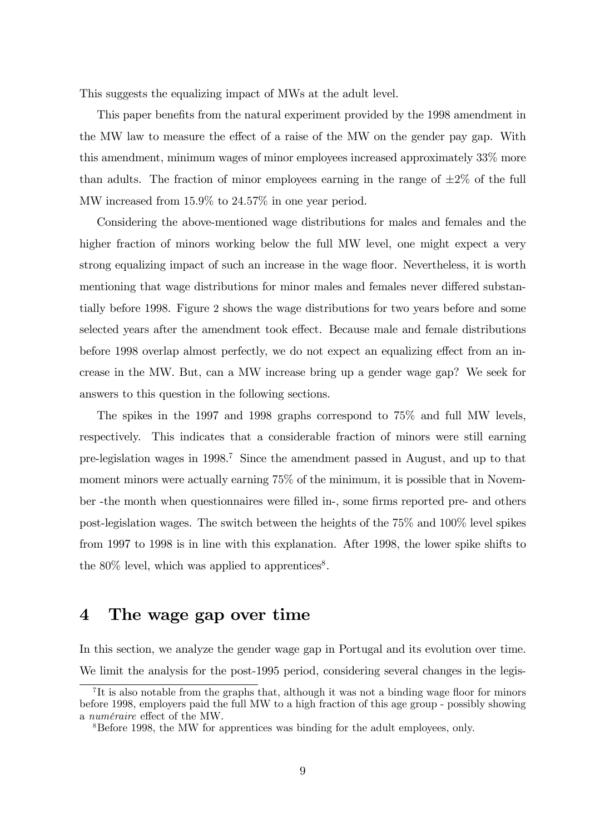This suggests the equalizing impact of MWs at the adult level.

This paper benefits from the natural experiment provided by the 1998 amendment in the MW law to measure the effect of a raise of the MW on the gender pay gap. With this amendment, minimum wages of minor employees increased approximately 33% more than adults. The fraction of minor employees earning in the range of  $\pm 2\%$  of the full MW increased from 15:9% to 24:57% in one year period.

Considering the above-mentioned wage distributions for males and females and the higher fraction of minors working below the full MW level, one might expect a very strong equalizing impact of such an increase in the wage floor. Nevertheless, it is worth mentioning that wage distributions for minor males and females never differed substantially before 1998. Figure 2 shows the wage distributions for two years before and some selected years after the amendment took effect. Because male and female distributions before 1998 overlap almost perfectly, we do not expect an equalizing effect from an increase in the MW. But, can a MW increase bring up a gender wage gap? We seek for answers to this question in the following sections.

The spikes in the 1997 and 1998 graphs correspond to 75% and full MW levels, respectively. This indicates that a considerable fraction of minors were still earning pre-legislation wages in 1998.<sup>7</sup> Since the amendment passed in August, and up to that moment minors were actually earning 75% of the minimum, it is possible that in November -the month when questionnaires were filled in-, some firms reported pre- and others post-legislation wages. The switch between the heights of the 75% and 100% level spikes from 1997 to 1998 is in line with this explanation. After 1998, the lower spike shifts to the  $80\%$  level, which was applied to apprentices<sup>8</sup>.

#### 4 The wage gap over time

In this section, we analyze the gender wage gap in Portugal and its evolution over time. We limit the analysis for the post-1995 period, considering several changes in the legis-

<sup>&</sup>lt;sup>7</sup>It is also notable from the graphs that, although it was not a binding wage floor for minors before 1998, employers paid the full MW to a high fraction of this age group - possibly showing a *numéraire* effect of the MW.

<sup>8</sup>Before 1998, the MW for apprentices was binding for the adult employees, only.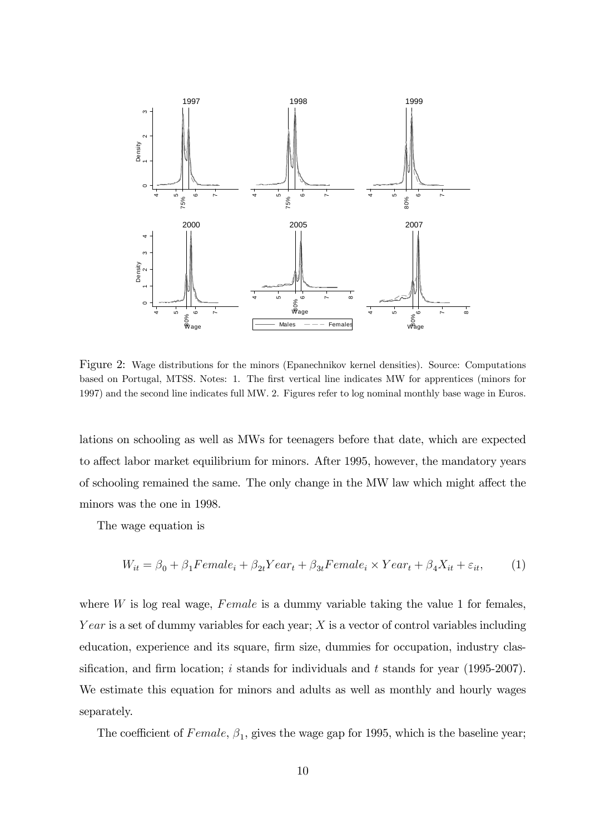

Figure 2: Wage distributions for the minors (Epanechnikov kernel densities). Source: Computations based on Portugal, MTSS. Notes: 1. The first vertical line indicates MW for apprentices (minors for 1997) and the second line indicates full MW. 2. Figures refer to log nominal monthly base wage in Euros.

lations on schooling as well as MWs for teenagers before that date, which are expected to affect labor market equilibrium for minors. After 1995, however, the mandatory years of schooling remained the same. The only change in the MW law which might affect the minors was the one in 1998.

The wage equation is

$$
W_{it} = \beta_0 + \beta_1 Female_i + \beta_{2t} Year_t + \beta_{3t} Female_i \times Year_t + \beta_4 X_{it} + \varepsilon_{it},\tag{1}
$$

where  $W$  is log real wage,  $Female$  is a dummy variable taking the value 1 for females, Y ear is a set of dummy variables for each year; X is a vector of control variables including education, experience and its square, firm size, dummies for occupation, industry classification, and firm location; i stands for individuals and t stands for year (1995-2007). We estimate this equation for minors and adults as well as monthly and hourly wages separately.

The coefficient of  $Female, \beta_1$ , gives the wage gap for 1995, which is the baseline year;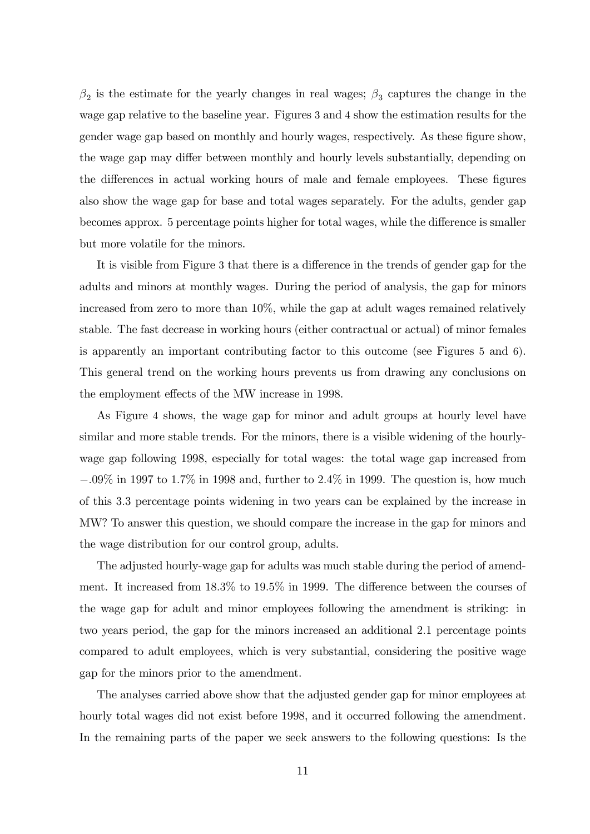$\beta_2$  is the estimate for the yearly changes in real wages;  $\beta_3$  captures the change in the wage gap relative to the baseline year. Figures 3 and 4 show the estimation results for the gender wage gap based on monthly and hourly wages, respectively. As these figure show, the wage gap may differ between monthly and hourly levels substantially, depending on the differences in actual working hours of male and female employees. These figures also show the wage gap for base and total wages separately. For the adults, gender gap becomes approx. 5 percentage points higher for total wages, while the difference is smaller but more volatile for the minors.

It is visible from Figure 3 that there is a difference in the trends of gender gap for the adults and minors at monthly wages. During the period of analysis, the gap for minors increased from zero to more than 10%, while the gap at adult wages remained relatively stable. The fast decrease in working hours (either contractual or actual) of minor females is apparently an important contributing factor to this outcome (see Figures 5 and 6). This general trend on the working hours prevents us from drawing any conclusions on the employment effects of the MW increase in 1998.

As Figure 4 shows, the wage gap for minor and adult groups at hourly level have similar and more stable trends. For the minors, there is a visible widening of the hourlywage gap following 1998, especially for total wages: the total wage gap increased from  $-.09\%$  in 1997 to 1.7% in 1998 and, further to 2.4% in 1999. The question is, how much of this 3:3 percentage points widening in two years can be explained by the increase in MW? To answer this question, we should compare the increase in the gap for minors and the wage distribution for our control group, adults.

The adjusted hourly-wage gap for adults was much stable during the period of amendment. It increased from  $18.3\%$  to  $19.5\%$  in 1999. The difference between the courses of the wage gap for adult and minor employees following the amendment is striking: in two years period, the gap for the minors increased an additional 2:1 percentage points compared to adult employees, which is very substantial, considering the positive wage gap for the minors prior to the amendment.

The analyses carried above show that the adjusted gender gap for minor employees at hourly total wages did not exist before 1998, and it occurred following the amendment. In the remaining parts of the paper we seek answers to the following questions: Is the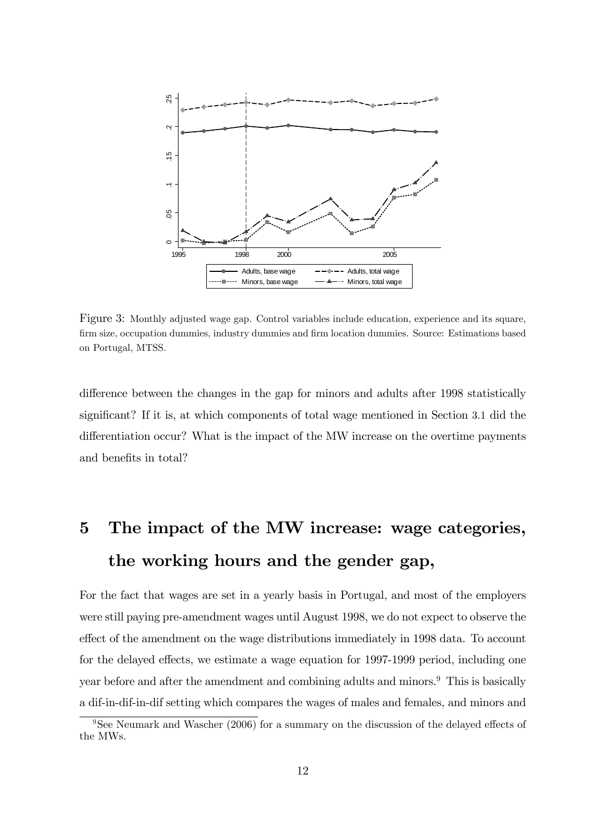

Figure 3: Monthly adjusted wage gap. Control variables include education, experience and its square, Örm size, occupation dummies, industry dummies and Örm location dummies. Source: Estimations based on Portugal, MTSS.

difference between the changes in the gap for minors and adults after 1998 statistically significant? If it is, at which components of total wage mentioned in Section 3.1 did the differentiation occur? What is the impact of the MW increase on the overtime payments and benefits in total?

## 5 The impact of the MW increase: wage categories, the working hours and the gender gap,

For the fact that wages are set in a yearly basis in Portugal, and most of the employers were still paying pre-amendment wages until August 1998, we do not expect to observe the effect of the amendment on the wage distributions immediately in 1998 data. To account for the delayed effects, we estimate a wage equation for 1997-1999 period, including one year before and after the amendment and combining adults and minors.<sup>9</sup> This is basically a dif-in-dif-in-dif setting which compares the wages of males and females, and minors and

 $9$ See Neumark and Wascher (2006) for a summary on the discussion of the delayed effects of the MWs.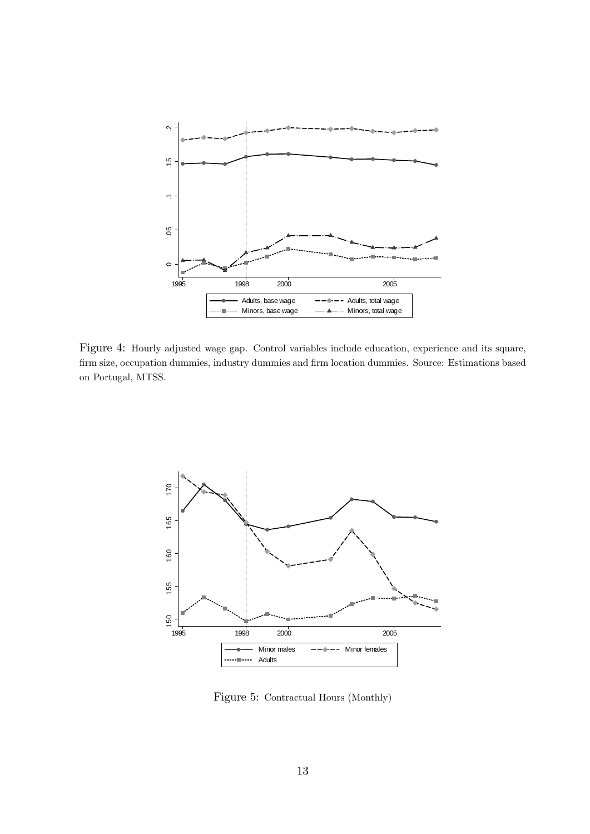

Figure 4: Hourly adjusted wage gap. Control variables include education, experience and its square, Örm size, occupation dummies, industry dummies and Örm location dummies. Source: Estimations based on Portugal, MTSS.



Figure 5: Contractual Hours (Monthly)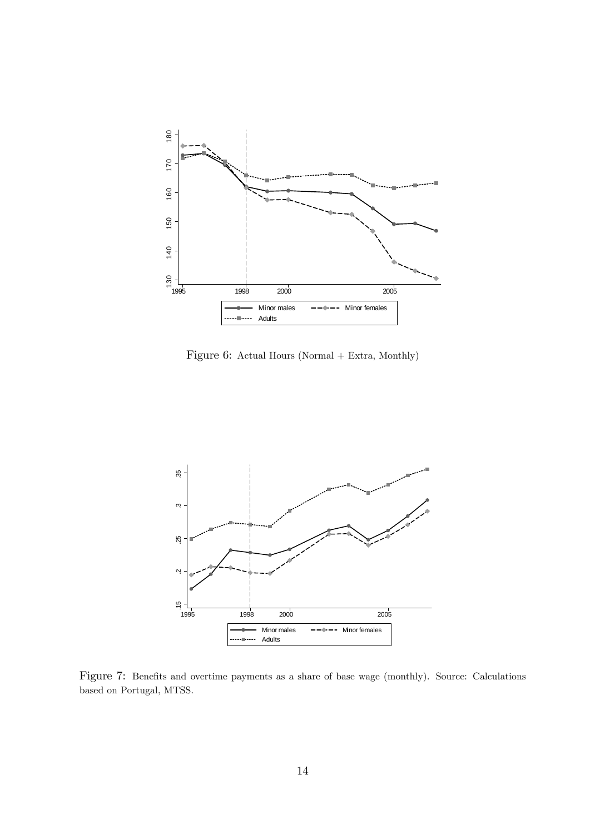

Figure 6: Actual Hours (Normal + Extra, Monthly)



Figure 7: Benefits and overtime payments as a share of base wage (monthly). Source: Calculations based on Portugal, MTSS.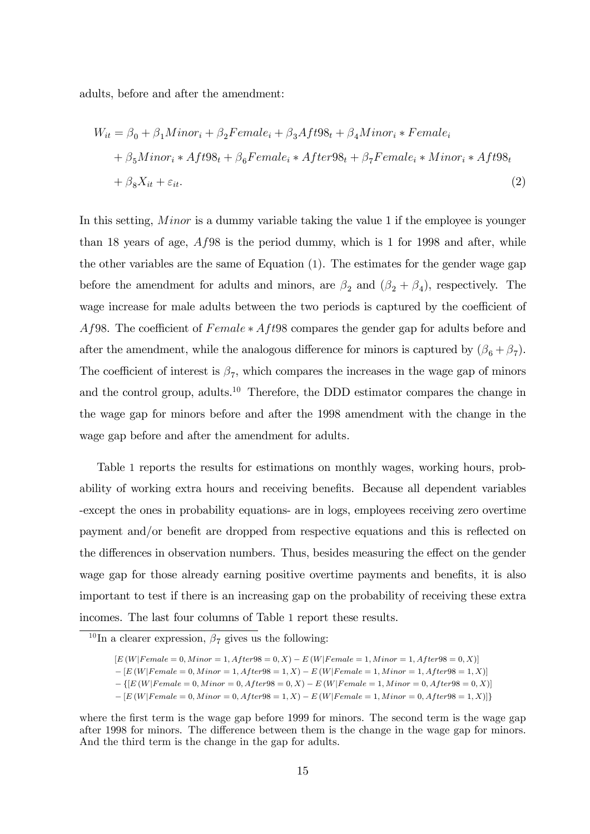adults, before and after the amendment:

$$
W_{it} = \beta_0 + \beta_1 \text{Minor}_i + \beta_2 \text{Female}_i + \beta_3 \text{Att98}_t + \beta_4 \text{Minor}_i * \text{Female}_i
$$
  
+  $\beta_5 \text{Minor}_i * \text{Att98}_t + \beta_6 \text{Female}_i * \text{After98}_t + \beta_7 \text{Female}_i * \text{Minor}_i * \text{Att98}_t$   
+  $\beta_8 X_{it} + \varepsilon_{it}.$  (2)

In this setting, *Minor* is a dummy variable taking the value 1 if the employee is younger than 18 years of age, Af98 is the period dummy, which is 1 for 1998 and after, while the other variables are the same of Equation (1). The estimates for the gender wage gap before the amendment for adults and minors, are  $\beta_2$  and  $(\beta_2 + \beta_4)$ , respectively. The wage increase for male adults between the two periods is captured by the coefficient of Af98. The coefficient of  $Female * Aff98$  compares the gender gap for adults before and after the amendment, while the analogous difference for minors is captured by  $(\beta_6 + \beta_7)$ . The coefficient of interest is  $\beta_7$ , which compares the increases in the wage gap of minors and the control group, adults.<sup>10</sup> Therefore, the DDD estimator compares the change in the wage gap for minors before and after the 1998 amendment with the change in the wage gap before and after the amendment for adults.

Table 1 reports the results for estimations on monthly wages, working hours, probability of working extra hours and receiving benefits. Because all dependent variables -except the ones in probability equations- are in logs, employees receiving zero overtime payment and/or benefit are dropped from respective equations and this is reflected on the differences in observation numbers. Thus, besides measuring the effect on the gender wage gap for those already earning positive overtime payments and benefits, it is also important to test if there is an increasing gap on the probability of receiving these extra incomes. The last four columns of Table 1 report these results.

 $=[E(W|Female = 0, Minor = 0, After98 = 1, X) - E(W|Female = 1, Minor = 0, After98 = 1, X)]$ 

where the first term is the wage gap before 1999 for minors. The second term is the wage gap after 1998 for minors. The difference between them is the change in the wage gap for minors. And the third term is the change in the gap for adults.

<sup>&</sup>lt;sup>10</sup>In a clearer expression,  $\beta_7$  gives us the following:

 $[E (W | Female = 0, Minor = 1, After 98 = 0, X) - E (W | Female = 1, Minor = 1, After 98 = 0, X)]$ 

 $[E(W|Female=0, Minor=1, After98 = 1, X) - E(W|Female=1, Minor=1, After98 = 1, X)]$ 

 $F = \{[E(W|Female = 0, Minor = 0, After98 = 0, X) - E(W|Female = 1, Minor = 0, After98 = 0, X)]\}$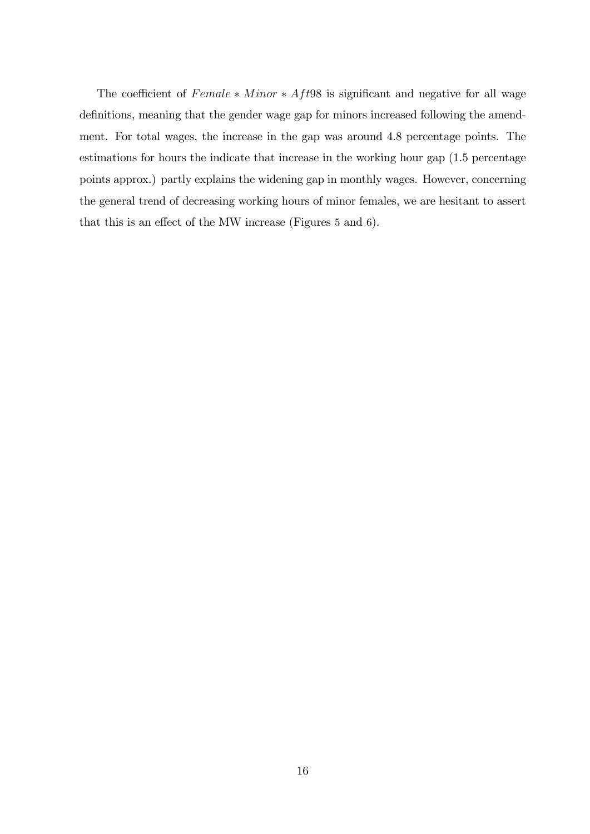The coefficient of  $Female * Minor * Aft98$  is significant and negative for all wage definitions, meaning that the gender wage gap for minors increased following the amendment. For total wages, the increase in the gap was around 4.8 percentage points. The estimations for hours the indicate that increase in the working hour gap (1.5 percentage points approx.) partly explains the widening gap in monthly wages. However, concerning the general trend of decreasing working hours of minor females, we are hesitant to assert that this is an effect of the MW increase (Figures  $5$  and  $6$ ).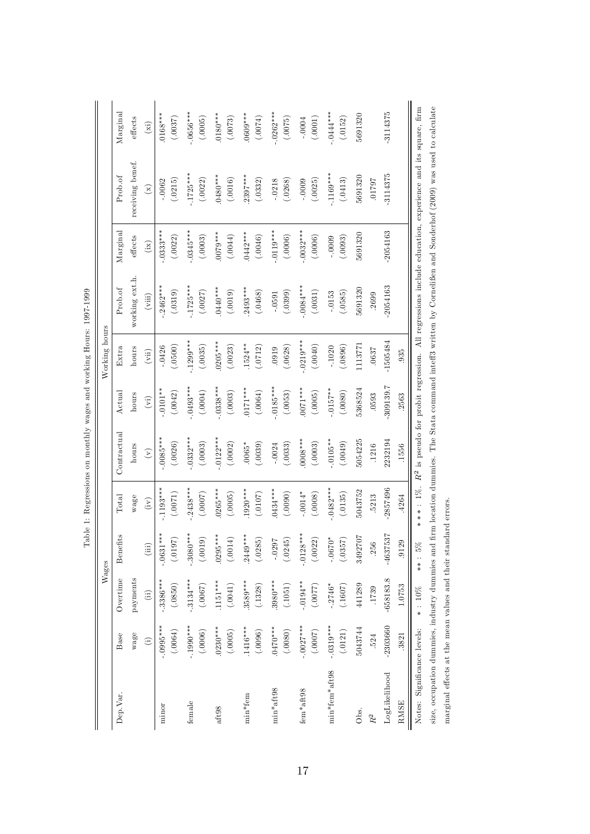|                                                |             |                | Wages       |            |                |                | Working hours                |                |             |                                                                                                                        |                             |
|------------------------------------------------|-------------|----------------|-------------|------------|----------------|----------------|------------------------------|----------------|-------------|------------------------------------------------------------------------------------------------------------------------|-----------------------------|
| Dep.Var.                                       | Base        | Overtime       | Benefits    | Total      | Contractual    | $\rm Actual$   | Extra                        | Proof          | Marginal    | Proof                                                                                                                  | Marginal                    |
|                                                | wage        | payments       |             | wage       | hours          | hours          | hours                        | working ext.h. | effects     | receiving benef.                                                                                                       | effects                     |
|                                                | $\odot$     | $\overline{d}$ | (iii)       | (iv)       | $\mathfrak{S}$ | $\binom{1}{k}$ | $\left( \mathrm{vii}\right)$ | (viii)         | (ix)        | $\mathbf{r}$                                                                                                           | $\left( \mathrm{xi}\right)$ |
| minor                                          | $-0.005***$ | $-.3386***$    | $-0631***$  | $-1193***$ | $-0085***$     | $.0101***$     | $-0426$                      | $-2462***$     | $0.333***$  | $-.0062$                                                                                                               | $0168***$                   |
|                                                | (.0064)     | (.0850)        | (0.0197)    | (.0071)    | (.0026)        | (.0042)        | (.0500)                      | (.0319)        | (.0022)     | (.0215)                                                                                                                | (.0037)                     |
| female                                         | $-1990***$  | $-3134***$     | $.3080***$  | $2438***$  | $0.332***$     | $.0493***$     | $1299***$                    | $-1725***$     | $.0345***$  | $.1725***$                                                                                                             | $-0656***$                  |
|                                                | (.0006)     | (.0067)        | (.0019)     | (7000.)    | (.0003)        | (.0004)        | (.0035)                      | (.0027)        | (.0003)     | (.0022)                                                                                                                | (.0005)                     |
| aft98                                          | $0230***$   | $1151***$      | $0295***$   | $0265***$  | $.0122***$     | $0338***$      | $0205***$                    | $0440***$      | $0079***$   | $0480***$                                                                                                              | $0180***$                   |
|                                                | (.0005)     | $(.0041)$      | (.0014)     | (.0005)    | (.0002)        | (.0003)        | (.0023)                      | (.0019)        | (.0044)     | (.0016)                                                                                                                | (.0073)                     |
| min*fem                                        | $1416***$   | $3589***$      | $2449***$   | $1920***$  | $0.0065*$      | $0171***$      | $1524***$                    | $2493***$      | $0442***$   | $2397***$                                                                                                              | 0609***                     |
|                                                | (.0096)     | (.1328)        | (.0285)     | (0.0107)   | (.0039)        | (.0064)        | (.0712)                      | (.0468)        | (.0046)     | (.0332)                                                                                                                | (.6700.)                    |
| min*aft98                                      | $0470***$   | $3980***$      | $-0.0297$   | 0434***    | $-0024$        | $-0185***$     | .0919                        | $-0591$        | $-0119***$  | $-.0218$                                                                                                               | $-0262***$                  |
|                                                | (.0080)     | (.1051)        | (.0245)     | (0000.)    | (.0033)        | (.0053)        | (.0628)                      | (.0399)        | (.0006)     | (.0268)                                                                                                                | (.0075)                     |
| fem*aft98                                      | $-.0027***$ | $-.0194**$     | $-.0128***$ | $-0.0014*$ | $0008***$      | $0.01***$      | $-0.019***$                  | $-0.084***$    | $-0.032***$ | $-0.0009$                                                                                                              | $-0004$                     |
|                                                | (7000.)     | (7700.)        | (.0022)     | (.0008)    | (.0003)        | (.0005)        | (0040)                       | (.0031)        | (.0006)     | (.0025)                                                                                                                | (.0001)                     |
| min*fem*aft98                                  | $-0319***$  | $-2746*$       | $-0670*$    | $-0482***$ | $.0105**$      | $-.0157***$    | $-1020$                      | $-0.0153$      | $-0009$     | $-1169***$                                                                                                             | $-.0444***$                 |
|                                                | (.0121)     | (.1607)        | (.0357)     | (.0135)    | (.0049)        | (.0080)        | (.0896)                      | (.0585)        | (.0093)     | (.0413)                                                                                                                | (.0152)                     |
| Obs.                                           | 5043744     | 441289         | 3492707     | 5043752    | 5054225        | 5368524        | 1113771                      | 5691320        | 5691320     | 5691320                                                                                                                | 5691320                     |
| $\ensuremath{R^2}$                             | .524        | .1739          | <b>256</b>  | 5213       | .1216          | .0593          | .0637                        | .2699          |             | 16210                                                                                                                  |                             |
| LogLikelihood                                  | $-2303660$  | $-658183.8$    | -4637537    | $-2857496$ | 2232194        | 309139.7       | $-1505484$                   | $-2054163$     | $-2054163$  | $-3114375$                                                                                                             | $-3114375$                  |
| <b>RMSE</b>                                    | .3821       | 1.0753         | .9129       | 4264       | .1556          | .2563          | .935                         |                |             |                                                                                                                        |                             |
| Notes: Significance levels:                    |             | $*: 10\%$      | $***:5\%$   |            |                |                |                              |                |             | ***: $1\%$ . $R^2$ is pseudo for probit regression. All regressions include education, experience and its square, firm |                             |
| size, occupation dummies, industry dummies and |             |                |             |            |                |                |                              |                |             | firm location dummies. The Stata command inteff3 written by Cornelifien and Sonderhof (2009) was used to calculate     |                             |

Table 1: Regressions on monthly wages and working Hours: 1997-1999 Table 1: Regressions on monthly wages and working Hours: 1997-1999

marginal effects at the mean values and their standard errors.

marginal effects at the mean values and their standard errors.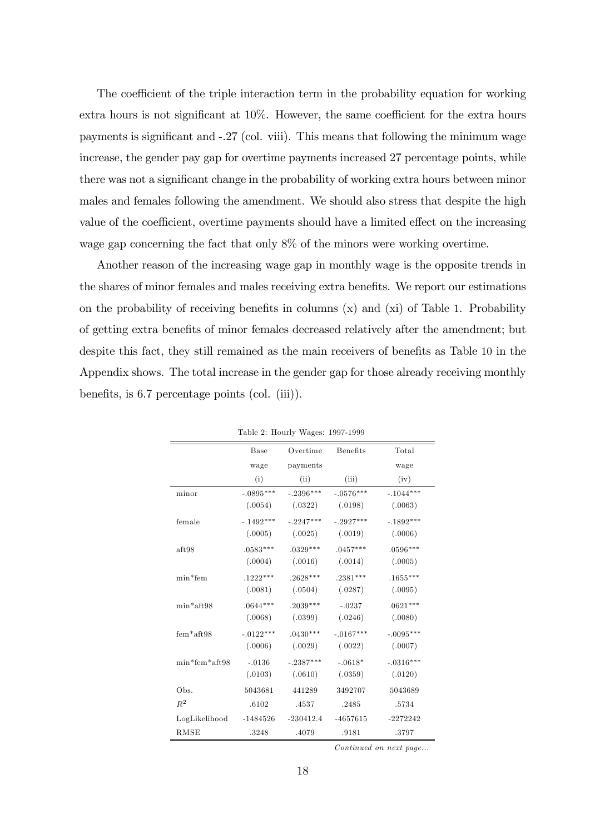The coefficient of the triple interaction term in the probability equation for working extra hours is not significant at  $10\%$ . However, the same coefficient for the extra hours payments is significant and -.27 (col. viii). This means that following the minimum wage increase, the gender pay gap for overtime payments increased 27 percentage points, while there was not a significant change in the probability of working extra hours between minor males and females following the amendment. We should also stress that despite the high value of the coefficient, overtime payments should have a limited effect on the increasing wage gap concerning the fact that only 8% of the minors were working overtime.

Another reason of the increasing wage gap in monthly wage is the opposite trends in the shares of minor females and males receiving extra benefits. We report our estimations on the probability of receiving benefits in columns  $(x)$  and  $(xi)$  of Table 1. Probability of getting extra benefits of minor females decreased relatively after the amendment; but despite this fact, they still remained as the main receivers of benefits as Table 10 in the Appendix shows. The total increase in the gender gap for those already receiving monthly benefits, is  $6.7$  percentage points (col. (iii)).

|                 | <b>Base</b> | Overtime    | <b>Benefits</b> | Total       |
|-----------------|-------------|-------------|-----------------|-------------|
|                 |             |             |                 |             |
|                 | wage        | payments    |                 | wage        |
|                 | (i)         | (ii)        | (iii)           | (iv)        |
| minor           | $-.0895***$ | $-.2396***$ | $-.0576***$     | $-.1044***$ |
|                 | (.0054)     | (.0322)     | (.0198)         | (.0063)     |
| female          | $-.1492***$ | $-.2247***$ | $-.2927***$     | $-.1892***$ |
|                 | (.0005)     | (.0025)     | (.0019)         | (.0006)     |
| aft98           | $.0583***$  | $.0329***$  | $.0457***$      | $.0596***$  |
|                 | (.0004)     | (.0016)     | (.0014)         | (.0005)     |
| $min*$ fem      | $.1222***$  | $.2628***$  | $.2381***$      | $.1655***$  |
|                 | (.0081)     | (.0504)     | (.0287)         | (.0095)     |
| $min*aff.98$    | $.0644***$  | $.2039***$  | $-.0237$        | $.0621***$  |
|                 | (.0068)     | (.0399)     | (.0246)         | (.0080)     |
| $fem*aff98$     | $-.0122***$ | $.0430***$  | $-.0167***$     | $-.0095***$ |
|                 | (.0006)     | (.0029)     | (.0022)         | (.0007)     |
| $min*fem*aff98$ | $-.0136$    | $-.2387***$ | $-.0618*$       | $-.0316***$ |
|                 | (.0103)     | (.0610)     | (.0359)         | (.0120)     |
| Obs.            | 5043681     | 441289      | 3492707         | 5043689     |
| $R^2$           | .6102       | .4537       | .2485           | .5734       |
| LogLikelihood   | $-1484526$  | $-230412.4$ | $-4657615$      | $-2272242$  |
| <b>RMSE</b>     | .3248       | .4079       | .9181           | .3797       |

Table 2: Hourly Wages: 1997-1999

Continued on next page...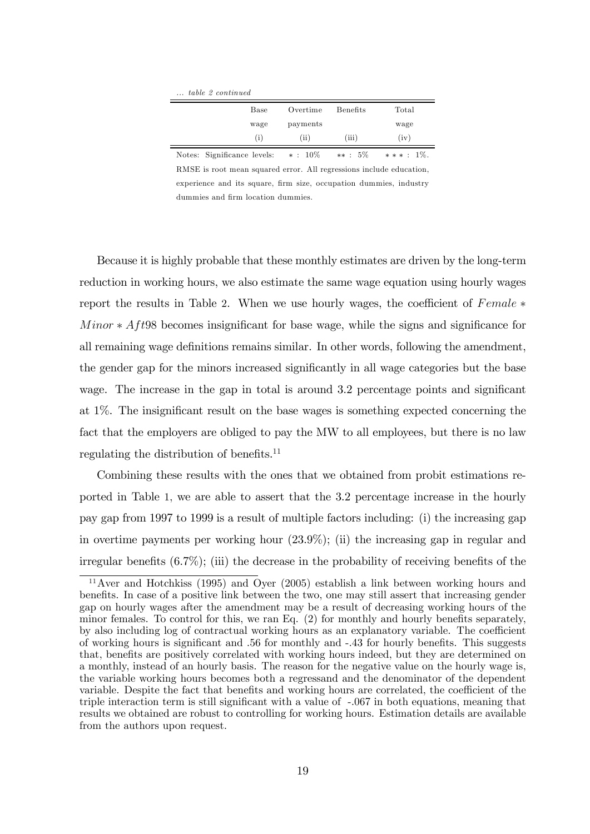... table 2 continued

| Base              | Overtime | <b>Benefits</b> | Total |
|-------------------|----------|-----------------|-------|
| wage              | payments |                 | wage  |
| $\left( i\right)$ | (ii)     | (iii)           | (iv)  |

Notes: Significance levels:  $* : 10\%$   $** : 5\%$   $** * : 1\%$ RMSE is root mean squared error. All regressions include education, experience and its square, firm size, occupation dummies, industry dummies and firm location dummies.

Because it is highly probable that these monthly estimates are driven by the long-term reduction in working hours, we also estimate the same wage equation using hourly wages report the results in Table 2. When we use hourly wages, the coefficient of  $Female*$  $Minor * Aff98$  becomes insignificant for base wage, while the signs and significance for all remaining wage definitions remains similar. In other words, following the amendment, the gender gap for the minors increased significantly in all wage categories but the base wage. The increase in the gap in total is around 3.2 percentage points and significant at  $1\%$ . The insignificant result on the base wages is something expected concerning the fact that the employers are obliged to pay the MW to all employees, but there is no law regulating the distribution of benefits.<sup>11</sup>

Combining these results with the ones that we obtained from probit estimations reported in Table 1, we are able to assert that the 3.2 percentage increase in the hourly pay gap from 1997 to 1999 is a result of multiple factors including: (i) the increasing gap in overtime payments per working hour (23.9%); (ii) the increasing gap in regular and irregular benefits  $(6.7\%)$ ; (iii) the decrease in the probability of receiving benefits of the

 $11$ Aver and Hotchkiss (1995) and Oyer (2005) establish a link between working hours and benefits. In case of a positive link between the two, one may still assert that increasing gender gap on hourly wages after the amendment may be a result of decreasing working hours of the minor females. To control for this, we ran Eq.  $(2)$  for monthly and hourly benefits separately, by also including log of contractual working hours as an explanatory variable. The coefficient of working hours is significant and .56 for monthly and -.43 for hourly benefits. This suggests that, benefits are positively correlated with working hours indeed, but they are determined on a monthly, instead of an hourly basis. The reason for the negative value on the hourly wage is, the variable working hours becomes both a regressand and the denominator of the dependent variable. Despite the fact that benefits and working hours are correlated, the coefficient of the triple interaction term is still significant with a value of -.067 in both equations, meaning that results we obtained are robust to controlling for working hours. Estimation details are available from the authors upon request.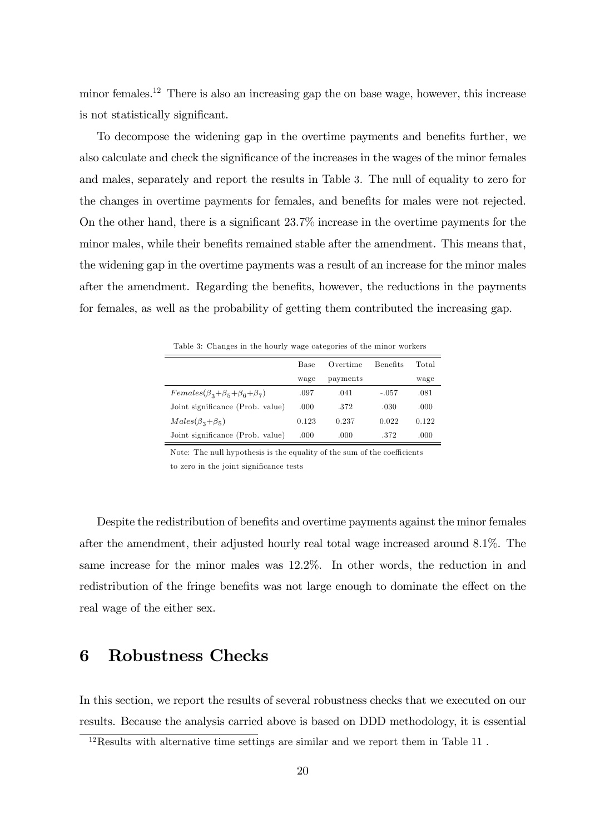minor females.<sup>12</sup> There is also an increasing gap the on base wage, however, this increase is not statistically significant.

To decompose the widening gap in the overtime payments and benefits further, we also calculate and check the significance of the increases in the wages of the minor females and males, separately and report the results in Table 3. The null of equality to zero for the changes in overtime payments for females, and benefits for males were not rejected. On the other hand, there is a significant  $23.7\%$  increase in the overtime payments for the minor males, while their benefits remained stable after the amendment. This means that, the widening gap in the overtime payments was a result of an increase for the minor males after the amendment. Regarding the benefits, however, the reductions in the payments for females, as well as the probability of getting them contributed the increasing gap.

Table 3: Changes in the hourly wage categories of the minor workers

|                                            | Base  | Overtime | <b>Benefits</b> | Total |
|--------------------------------------------|-------|----------|-----------------|-------|
|                                            | wage  | payments |                 | wage  |
| $Females(\beta_3+\beta_5+\beta_6+\beta_7)$ | .097  | .041     | $-.057$         | .081  |
| Joint significance (Prob. value)           | .000  | .372     | .030            | .000  |
| $Males(\beta_3+\beta_5)$                   | 0.123 | 0.237    | 0.022           | 0.122 |
| Joint significance (Prob. value)           | .000  | .000     | .372            | .000  |

Note: The null hypothesis is the equality of the sum of the coefficients

to zero in the joint significance tests

Despite the redistribution of benefits and overtime payments against the minor females after the amendment, their adjusted hourly real total wage increased around 8.1%. The same increase for the minor males was 12.2%. In other words, the reduction in and redistribution of the fringe benefits was not large enough to dominate the effect on the real wage of the either sex.

#### 6 Robustness Checks

In this section, we report the results of several robustness checks that we executed on our results. Because the analysis carried above is based on DDD methodology, it is essential

<sup>12</sup>Results with alternative time settings are similar and we report them in Table 11 .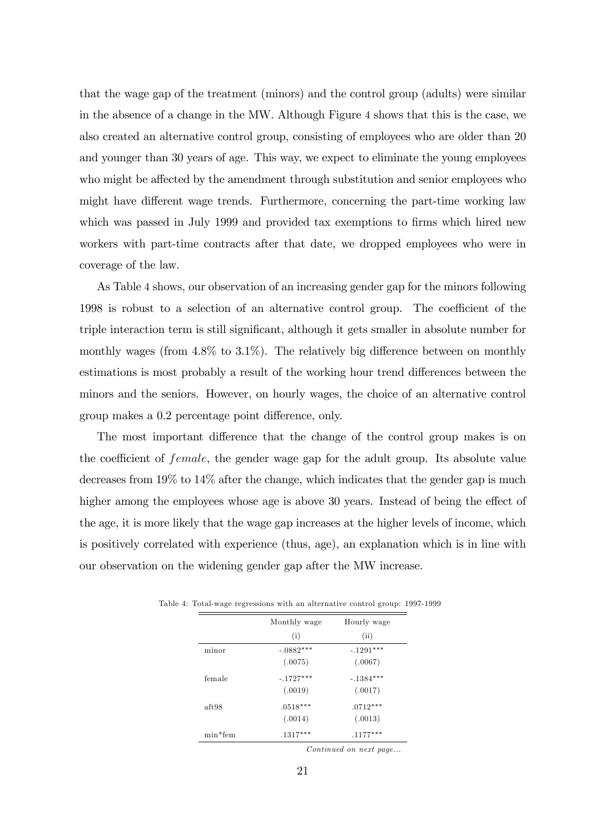that the wage gap of the treatment (minors) and the control group (adults) were similar in the absence of a change in the MW. Although Figure 4 shows that this is the case, we also created an alternative control group, consisting of employees who are older than 20 and younger than 30 years of age. This way, we expect to eliminate the young employees who might be affected by the amendment through substitution and senior employees who might have different wage trends. Furthermore, concerning the part-time working law which was passed in July 1999 and provided tax exemptions to firms which hired new workers with part-time contracts after that date, we dropped employees who were in coverage of the law.

As Table 4 shows, our observation of an increasing gender gap for the minors following 1998 is robust to a selection of an alternative control group. The coefficient of the triple interaction term is still significant, although it gets smaller in absolute number for monthly wages (from  $4.8\%$  to  $3.1\%$ ). The relatively big difference between on monthly estimations is most probably a result of the working hour trend differences between the minors and the seniors. However, on hourly wages, the choice of an alternative control group makes a 0.2 percentage point difference, only.

The most important difference that the change of the control group makes is on the coefficient of *female*, the gender wage gap for the adult group. Its absolute value decreases from 19% to 14% after the change, which indicates that the gender gap is much higher among the employees whose age is above 30 years. Instead of being the effect of the age, it is more likely that the wage gap increases at the higher levels of income, which is positively correlated with experience (thus, age), an explanation which is in line with our observation on the widening gender gap after the MW increase.

|            | Monthly wage | Hourly wage |
|------------|--------------|-------------|
|            | (i)          | (ii)        |
| minor      | $-.0882***$  | $-.1291***$ |
|            | (.0075)      | (.0067)     |
| female     | $-.1727***$  | $-.1384***$ |
|            | (.0019)      | (.0017)     |
| aft98      | $.0518***$   | $.0712***$  |
|            | (.0014)      | (.0013)     |
| $min*$ fem | $.1317***$   | $.1177***$  |

Table 4: Total-wage regressions with an alternative control group: 1997-1999

Continued on next page...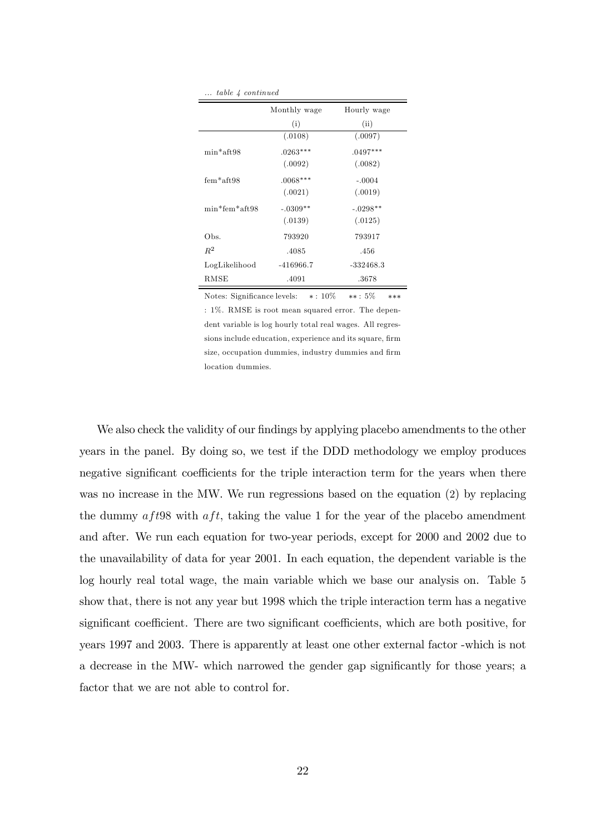| $\ldots$ table 4 continued |              |             |
|----------------------------|--------------|-------------|
|                            | Monthly wage | Hourly wage |
|                            | (i)          | (ii)        |
|                            | (.0108)      | (.0097)     |
| $min*$ aft.98              | $.0263***$   | $.0497***$  |
|                            | (.0092)      | (.0082)     |
| $fem*aff.98$               | $.0068***$   | $-.0004$    |
|                            | (.0021)      | (.0019)     |
| $min*few*aft98$            | $-.0309**$   | $-.0298**$  |
|                            | (.0139)      | (.0125)     |
| Obs.                       | 793920       | 793917      |
| $R^2$                      | .4085        | .456        |
| LogLikelihood              | $-416966.7$  | $-332468.3$ |
| RMSE                       | .4091        | .3678       |

Notes: Significance levels:  $*: 10\%$   $**: 5\%$   $**$ : 1%. RMSE is root mean squared error. The dependent variable is log hourly total real wages. All regressions include education, experience and its square, firm size, occupation dummies, industry dummies and firm location dummies.

We also check the validity of our findings by applying placebo amendments to the other years in the panel. By doing so, we test if the DDD methodology we employ produces negative significant coefficients for the triple interaction term for the years when there was no increase in the MW. We run regressions based on the equation (2) by replacing the dummy  $aff98$  with  $aff$ , taking the value 1 for the year of the placebo amendment and after. We run each equation for two-year periods, except for 2000 and 2002 due to the unavailability of data for year 2001. In each equation, the dependent variable is the log hourly real total wage, the main variable which we base our analysis on. Table 5 show that, there is not any year but 1998 which the triple interaction term has a negative significant coefficient. There are two significant coefficients, which are both positive, for years 1997 and 2003. There is apparently at least one other external factor -which is not a decrease in the MW- which narrowed the gender gap significantly for those years; a factor that we are not able to control for.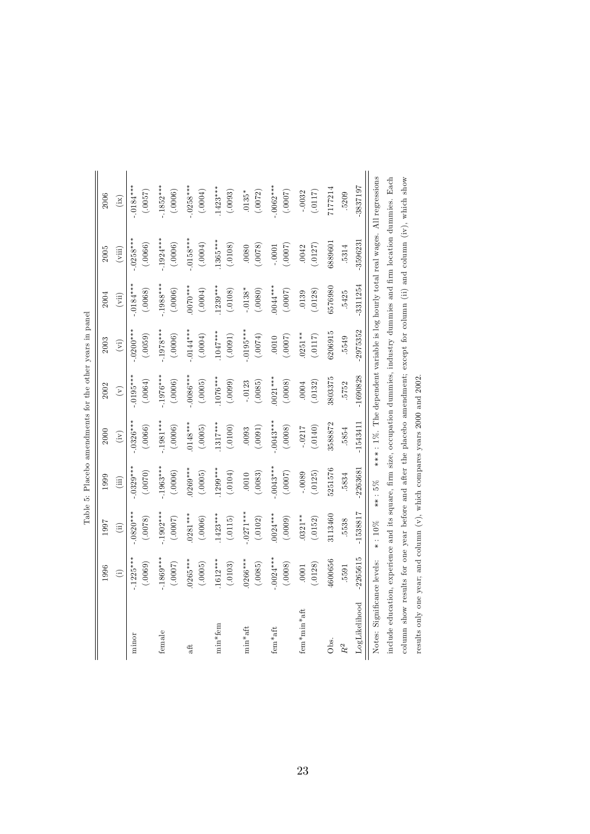|                                                                                                                                                              |              |               | Table 5: Placebo amendments for the other years in panel |            |                |                |            |             |                                                                                 |
|--------------------------------------------------------------------------------------------------------------------------------------------------------------|--------------|---------------|----------------------------------------------------------|------------|----------------|----------------|------------|-------------|---------------------------------------------------------------------------------|
|                                                                                                                                                              | 1996         | 1997          | 1999                                                     | 2000       | 2002           | 2003           | 2004       | 2005        | 2006                                                                            |
|                                                                                                                                                              | $\odot$      | $\widehat{a}$ | (iii)                                                    | (iv)       | $\binom{v}{v}$ | $\binom{1}{k}$ | (vii)      | (viii)      | (ix)                                                                            |
| minor                                                                                                                                                        | $.1225***$   | $0820***$     | $0329***$                                                | $0326***$  | $0195***$      | $.0200***$     | $0184***$  | $0.0258***$ | $.0184***$                                                                      |
|                                                                                                                                                              | (.0069)      | (0078)        | (0070)                                                   | (.00066)   | (.0064)        | (.0059)        | (.0068)    | (.00066)    | (7500.)                                                                         |
| female                                                                                                                                                       | $.1869***$   | $.1902***$    | $.1963***$                                               | $.1981***$ | 1976***        | $.1978***$     | $1988***$  | $.1924***$  | $.1852***$                                                                      |
|                                                                                                                                                              | (0.0007)     | (7000.)       | (.0006)                                                  | (.0006)    | (.0006)        | (.0006)        | (.0006)    | (.0006)     | (.0006)                                                                         |
| aft                                                                                                                                                          | $0265***$    | $0281***$     | $0269***$                                                | $0148***$  | $0086***$      | $.0144***$     | $0070***$  | $.0158***$  | $0258***$                                                                       |
|                                                                                                                                                              | (.0005)      | (.0006)       | (.0005)                                                  | (.0005)    | (.0005)        | (0.0004)       | (.0004)    | (.0004)     | (.0004)                                                                         |
| $min*fem$                                                                                                                                                    | $1612***$    | $1423***$     | $1299***$                                                | 1317****   | $1076***$      | $1047***$      | $1239***$  | $1365***$   | $1423***$                                                                       |
|                                                                                                                                                              | (.0103)      | (.0115)       | (.0104)                                                  | (.0100)    | (.0099)        | (.0091)        | (.0108)    | (.0108)     | (.0093)                                                                         |
| $min*aft$                                                                                                                                                    | $0266***$    | $.0271***$    | (.0083)                                                  | (.0091)    | $-0123$        | $0.0195***$    | $.0138*$   | (.8200)     | $.0135*$                                                                        |
|                                                                                                                                                              | (.0085)      | (.0102)       | .0010                                                    | .0093      | (.0085)        | (0.0074)       | (.0080)    | .0080       | (.0072)                                                                         |
| $fem*aff$                                                                                                                                                    | $-0.0024***$ | $0024***$     | $-0043***$                                               | $.0043***$ | $0021***$      | (7000.)        | $0044***$  | (.0007)     | $-0062***$                                                                      |
|                                                                                                                                                              | (.0008)      | (.0009)       | (7000.)                                                  | (.0008)    | (.0008)        | .0010          | (7000.)    | $-0001$     | (7000.)                                                                         |
| $fem*min*aff$                                                                                                                                                | (.0128)      | $0321**$      | $-0089$                                                  | (.0140)    | (.0132)        | $0251***$      | (.0128)    | (.0127)     | $-.0032$                                                                        |
|                                                                                                                                                              | .0001        | (.0152)       | (.0125)                                                  | $-.0217$   | .0004          | (.0117)        | .0139      | .0042       | (.0117)                                                                         |
| Obs.                                                                                                                                                         | 4600656      | 3113460       | 5251576                                                  | 3588872    | 3803375        | 6206915        | 3576980    | 6889601     | 7177214                                                                         |
| LogLikelihood                                                                                                                                                | $-2265615$   | -1538817      | $-2263681$                                               | $-1543411$ | $-1690828$     | $-2975352$     | $-3311254$ | -3596231    | 3837197                                                                         |
| $R^2$                                                                                                                                                        | .5591        | 5538          | .5834                                                    | .5854      | 5752           | 5549           | .5425      | .5314       | .5209                                                                           |
| include education, experience and its square, firm size, occupation dummies, industry dummies and firm location dummies. Each<br>Notes: Significance levels: |              | $\ast$ : 10%  | **: 5%                                                   |            |                |                |            |             | ***: 1%. The dependent variable is log hourly total real wages. All regressions |
| column show results for one year before and after the placebo amendment; except for column (ii) and column (iv), which show                                  |              |               |                                                          |            |                |                |            |             |                                                                                 |
| results only one year; and column (v), which compares years 2000 and 2002.                                                                                   |              |               |                                                          |            |                |                |            |             |                                                                                 |

|        | no in non<br>ŕ.<br>į<br>Š<br>l                                                      |
|--------|-------------------------------------------------------------------------------------|
|        | $\frac{1}{2}$<br>$\frac{1}{2}$<br>l,                                                |
|        | ì                                                                                   |
|        | IOI                                                                                 |
|        | こうしょう ちょうこう<br>a on drag on+<br>֦֦֧֦֧֦֧֦֦֧֦֧֦֧֦֧֦֧֦֧֦֧֦֧ׅ֧֦֧֦֧֚֚֚֚֚֬֝֝֜֓֞<br>I<br>ł |
|        | į                                                                                   |
| .<br>F | ١<br>í                                                                              |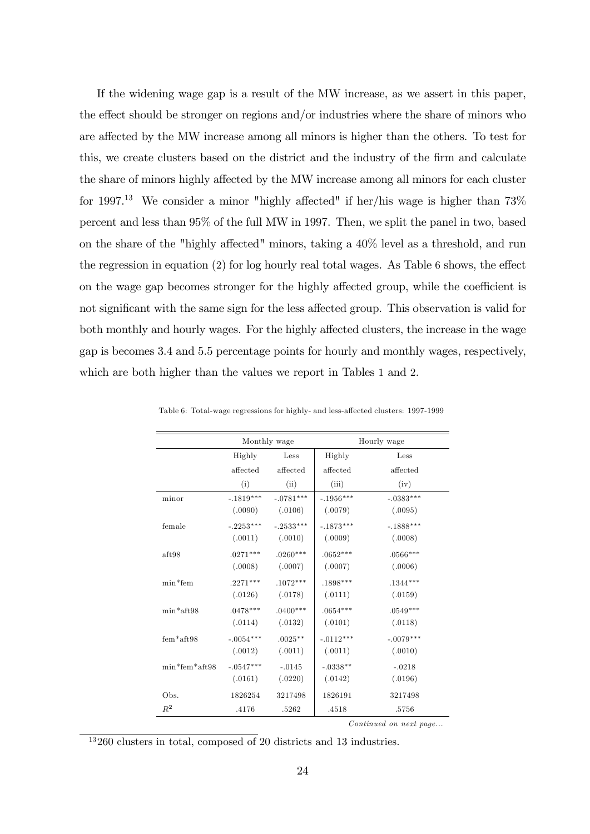If the widening wage gap is a result of the MW increase, as we assert in this paper, the effect should be stronger on regions and/or industries where the share of minors who are affected by the MW increase among all minors is higher than the others. To test for this, we create clusters based on the district and the industry of the firm and calculate the share of minors highly affected by the MW increase among all minors for each cluster for 1997.<sup>13</sup> We consider a minor "highly affected" if her/his wage is higher than  $73\%$ percent and less than 95% of the full MW in 1997. Then, we split the panel in two, based on the share of the "highly affected" minors, taking a  $40\%$  level as a threshold, and run the regression in equation  $(2)$  for log hourly real total wages. As Table 6 shows, the effect on the wage gap becomes stronger for the highly affected group, while the coefficient is not significant with the same sign for the less affected group. This observation is valid for both monthly and hourly wages. For the highly affected clusters, the increase in the wage gap is becomes 3.4 and 5.5 percentage points for hourly and monthly wages, respectively, which are both higher than the values we report in Tables 1 and 2.

|                 | Monthly wage |             |             | Hourly wage |
|-----------------|--------------|-------------|-------------|-------------|
|                 | Highly       | Less        | Highly      | Less        |
|                 | affected     | affected    | affected    | affected    |
|                 | (i)          | (ii)        | (iii)       | (iv)        |
| minor           | $-.1819***$  | $-.0781***$ | $-.1956***$ | $-.0383***$ |
|                 | (.0090)      | (.0106)     | (.0079)     | (.0095)     |
| female          | $-.2253***$  | $-.2533***$ | $-.1873***$ | $-.1888***$ |
|                 | (.0011)      | (.0010)     | (.0009)     | (.0008)     |
| aft98           | $.0271***$   | $.0260***$  | $.0652***$  | $.0566***$  |
|                 | (.0008)      | (.0007)     | (.0007)     | (.0006)     |
| $min*$ fem      | $.2271***$   | $.1072***$  | $.1898***$  | $.1344***$  |
|                 | (.0126)      | (.0178)     | (.0111)     | (.0159)     |
| $min*$ aft98    | $.0478***$   | $.0400***$  | $.0654***$  | $.0549***$  |
|                 | (.0114)      | (.0132)     | (.0101)     | (.0118)     |
| $fem*aff98$     | $-.0054***$  | $.0025**$   | $-.0112***$ | $-.0079***$ |
|                 | (.0012)      | (.0011)     | (.0011)     | (.0010)     |
| $min*fem*aff98$ | $-.0547***$  | $-.0145$    | $-.0338**$  | $-.0218$    |
|                 | (.0161)      | (.0220)     | (.0142)     | (.0196)     |
| Obs.            | 1826254      | 3217498     | 1826191     | 3217498     |
| $\mathbb{R}^2$  | .4176        | .5262       | .4518       | .5756       |

Table 6: Total-wage regressions for highly- and less-affected clusters: 1997-1999

Continued on next page...

<sup>13</sup> 260 clusters in total, composed of 20 districts and 13 industries.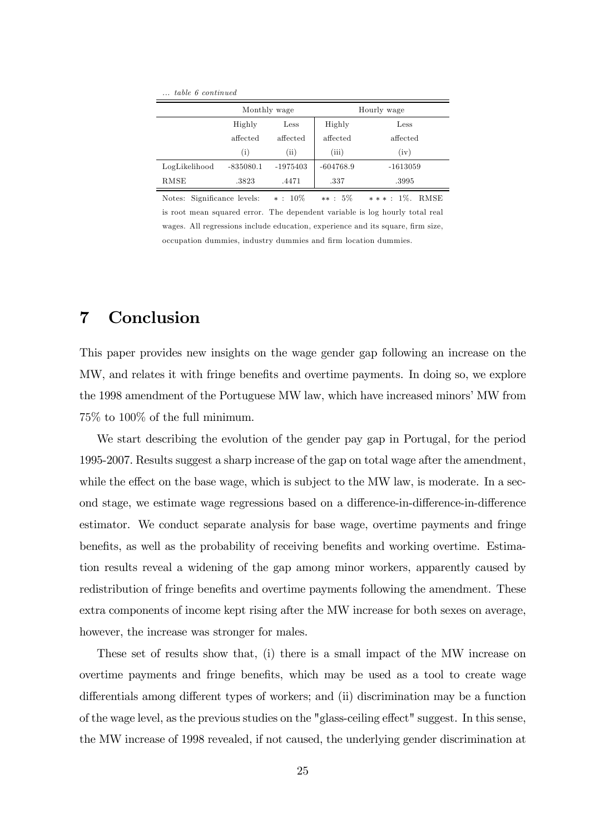... table 6 continued

|               | Monthly wage      |            |             | Hourly wage |  |
|---------------|-------------------|------------|-------------|-------------|--|
|               | Highly            | Less       | Highly      | Less        |  |
|               | affected          | affected   | affected    | affected    |  |
|               | $\left( i\right)$ | (ii)       | (iii)       | (iv)        |  |
| LogLikelihood | $-835080.1$       | $-1975403$ | $-604768.9$ | $-1613059$  |  |
| RMSE          | .3823             | .4471      | .337        | .3995       |  |

Notes: Significance levels:  $* : 10\%$   $** : 5\%$   $** * : 1\%$ . RMSE is root mean squared error. The dependent variable is log hourly total real wages. All regressions include education, experience and its square, firm size occupation dummies, industry dummies and Örm location dummies.

### 7 Conclusion

This paper provides new insights on the wage gender gap following an increase on the MW, and relates it with fringe benefits and overtime payments. In doing so, we explore the 1998 amendment of the Portuguese MW law, which have increased minors' MW from 75% to 100% of the full minimum.

We start describing the evolution of the gender pay gap in Portugal, for the period 1995-2007. Results suggest a sharp increase of the gap on total wage after the amendment, while the effect on the base wage, which is subject to the MW law, is moderate. In a second stage, we estimate wage regressions based on a difference-in-difference-in-difference estimator. We conduct separate analysis for base wage, overtime payments and fringe benefits, as well as the probability of receiving benefits and working overtime. Estimation results reveal a widening of the gap among minor workers, apparently caused by redistribution of fringe benefits and overtime payments following the amendment. These extra components of income kept rising after the MW increase for both sexes on average, however, the increase was stronger for males.

These set of results show that, (i) there is a small impact of the MW increase on overtime payments and fringe benefits, which may be used as a tool to create wage differentials among different types of workers; and (ii) discrimination may be a function of the wage level, as the previous studies on the "glass-ceiling effect" suggest. In this sense, the MW increase of 1998 revealed, if not caused, the underlying gender discrimination at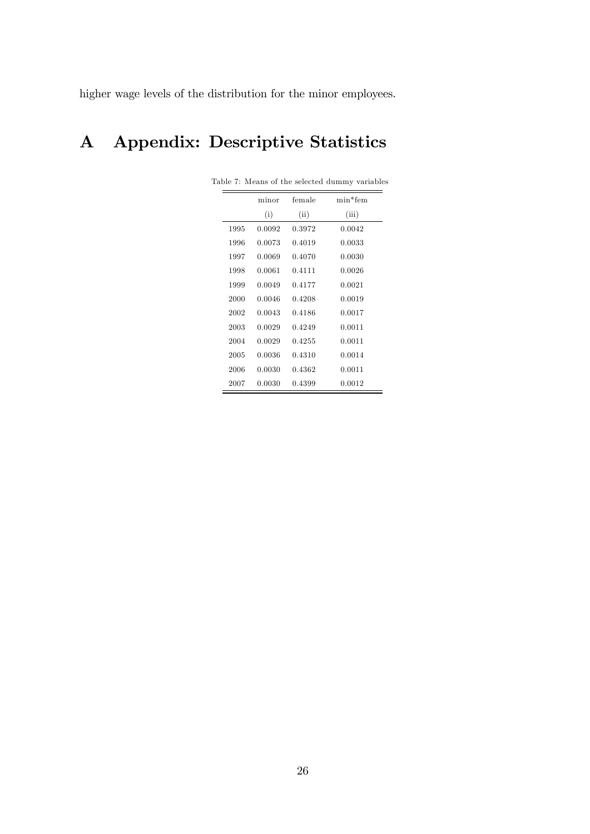higher wage levels of the distribution for the minor employees.

## A Appendix: Descriptive Statistics

|      | minor  | female | min*fem |
|------|--------|--------|---------|
|      | (i)    | (ii)   | (iii)   |
| 1995 | 0.0092 | 0.3972 | 0.0042  |
| 1996 | 0.0073 | 0.4019 | 0.0033  |
| 1997 | 0.0069 | 0.4070 | 0.0030  |
| 1998 | 0.0061 | 0.4111 | 0.0026  |
| 1999 | 0.0049 | 0.4177 | 0.0021  |
| 2000 | 0.0046 | 0.4208 | 0.0019  |
| 2002 | 0.0043 | 0.4186 | 0.0017  |
| 2003 | 0.0029 | 0.4249 | 0.0011  |
| 2004 | 0.0029 | 0.4255 | 0.0011  |
| 2005 | 0.0036 | 0.4310 | 0.0014  |
| 2006 | 0.0030 | 0.4362 | 0.0011  |
| 2007 | 0.0030 | 0.4399 | 0.0012  |

Table 7: Means of the selected dummy variables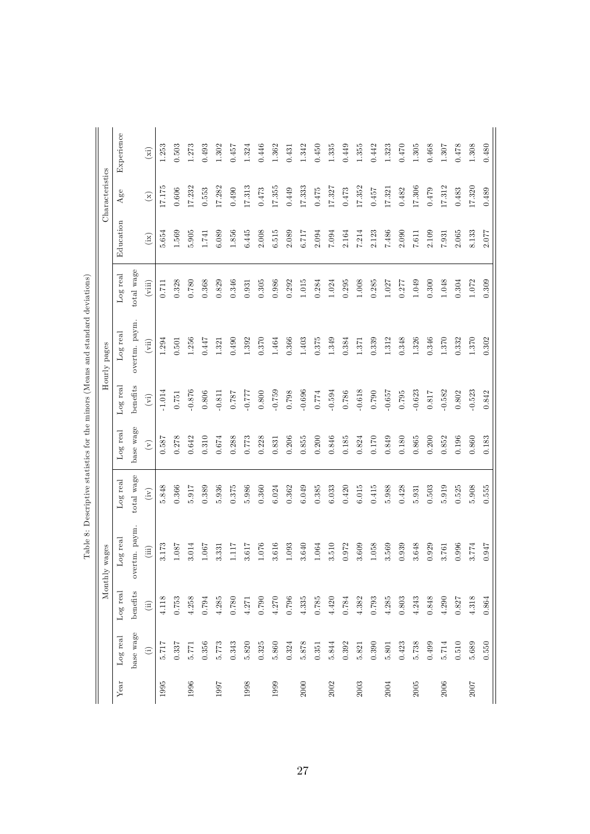|      |               | Monthly       | wages         |            |                                        |                             | Hourly pages                 |                   |           | Characteristics            |            |
|------|---------------|---------------|---------------|------------|----------------------------------------|-----------------------------|------------------------------|-------------------|-----------|----------------------------|------------|
| Year | Log real      | Log real      | Log real      | Log real   | Log real                               | Log real                    | Log real                     | Log real          | Education | Age                        | Experience |
|      | base wage     | benefits      | overtm. paym. | total wage | base wage                              | benefits                    | overtm. paym.                | total wage        |           |                            |            |
|      | $\widehat{E}$ | $\widehat{a}$ | $\rm (iii)$   | (iv)       | $\begin{pmatrix} \nabla \end{pmatrix}$ | $\left( \mathrm{vi}\right)$ | $\left( \mathrm{vii}\right)$ | $(\mathrm{viii})$ | (ix)      | $\left( \mathbf{x}\right)$ | (xi)       |
| 1995 | 5.717         | 4.118         | 3.173         | 5.848      | 0.587                                  | $-1.014$                    | 1.294                        | $0.711\,$         | 5.654     | 17.175                     | 1.253      |
|      | 0.337         | 0.753         | 1.087         | 0.366      | 0.278                                  | $0.751\,$                   | 0.501                        | 0.328             | 1.569     | 0.606                      | 0.503      |
| 1996 | 5.771         | 4.258         | 3.014         | 5.917      | 0.642                                  | $-0.876$                    | 1.256                        | 0.780             | $5.905$   | 17.232                     | 1.273      |
|      | 0.356         | 0.794         | 1.067         | 0.389      | 0.310                                  | 0.806                       | 0.447                        | 0.368             | 1.741     | 0.553                      | 0.493      |
| 1997 | 5.773         | 4.285         | 3.331         | 5.936      | 0.674                                  | $-0.811$                    | 1.321                        | 0.829             | 6.089     | 17.282                     | 1.302      |
|      | 0.343         | 0.780         | 1.117         | 0.375      | 0.288                                  | 0.787                       | 0.490                        | 0.346             | 1.856     | 0.490                      | 0.457      |
| 1998 | 5.820         | 4.271         | 3.617         | 5.986      | 0.773                                  | $-7.777$                    | 1.392                        | 0.931             | 6.445     | 17.313                     | 1.324      |
|      | 0.325         | $0.790\,$     | 1.076         | 0.360      | 0.228                                  | 0.800                       | 0.370                        | 0.305             | 2.008     | 0.473                      | 0.446      |
| 1999 | 5.860         | 4.270         | 3.616         | 6.024      | 0.831                                  | $-0.759$                    | 1.464                        | 0.986             | 6.515     | 17.355                     | 1.362      |
|      | 0.324         | 0.796         | 1.093         | 0.362      | 0.206                                  | 0.798                       | 0.366                        | 0.292             | 2.089     | 0.449                      | 0.431      |
| 2000 | 5.878         | 4.335         | 3.640         | 6.049      | $0.855\,$                              | $-0.696$                    | 1.403                        | $1.015$           | 6.717     | 17.333                     | 1.342      |
|      | 0.351         | 0.785         | 1.064         | 0.385      | 0.200                                  | 0.774                       | 0.375                        | 0.284             | 2.094     | 0.475                      | 0.450      |
| 2002 | 5.844         | 4.420         | 3.510         | 6.033      | 0.846                                  | $-0.594$                    | 1.349                        | 1.024             | F60.7     | 17.327                     | 1.335      |
|      | 0.392         | 0.784         | 0.972         | 0.420      | 0.185                                  | 0.786                       | 0.384                        | 0.295             | 2.164     | $0.473\,$                  | 0.449      |
| 2003 | 5.821         | 4.382         | 3.609         | 6.015      | 0.824                                  | $-0.618$                    | 1.371                        | 1.008             | 7.214     | 17.352                     | 1.355      |
|      | 0.390         | 0.793         | 1.058         | 0.415      | $0.170\,$                              | 0.790                       | 0.339                        | 0.285             | 2.123     | 0.457                      | 0.442      |
| 2004 | 5.801         | 4.285         | 3.569         | 5.988      | 0.849                                  | $-0.657$                    | 1.312                        | 1.027             | 7.486     | 17.321                     | 1.323      |
|      | 0.423         | $\!0.803\!$   | 0.939         | 0.428      | 0.180                                  | 0.795                       | 0.348                        | 0.277             | 2.090     | 0.482                      | $0.470\,$  |
| 2005 | 5.738         | 4.243         | 3.648         | 5.931      | $0.865\,$                              | $-0.623$                    | 1.326                        | 1.049             | 7.611     | 17.306                     | 1.305      |
|      | 0.499         | 0.848         | 0.929         | 0.503      | 0.200                                  | 0.817                       | 0.346                        | 0.300             | 2.109     | 0.479                      | 0.468      |
| 2006 | 5.714         | 4.290         | 3.761         | 5.919      | 0.852                                  | $-0.582$                    | 1.370                        | 1.048             | 7.931     | 17.312                     | 1.307      |
|      | 0.510         | 0.827         | 0.996         | 0.525      | 0.196                                  | 0.802                       | 0.332                        | 0.304             | 2.065     | 0.483                      | 0.478      |
| 2007 | 5.689         | 4.318         | 3.774         | 5.908      | 0.860                                  | $-0.523$                    | 1.370                        | 1.072             | 8.133     | 17.320                     | 1.308      |
|      | 0.550         | 0.864         | 0.947         | 0.555      | 0.183                                  | 0.842                       | 0.302                        | 0.309             | 2.077     | 0.489                      | 0.480      |

Table 8: Descriptive statistics for the minors (Means and standard deviations) Table 8: Descriptive statistics for the minors (Means and standard deviations)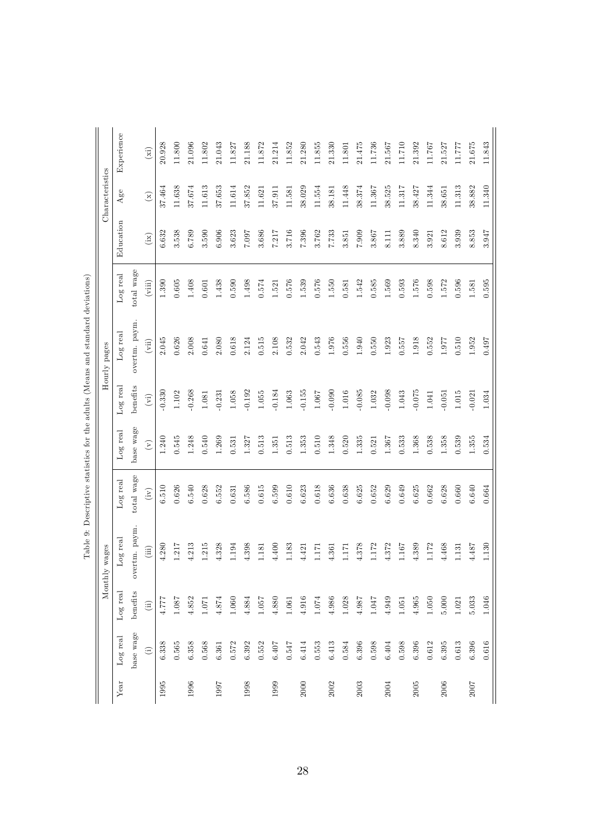|      |                                                |               | wages<br>Monthly |            |                                        |                             | Hourly pages  |            |           | Characteristics           |            |
|------|------------------------------------------------|---------------|------------------|------------|----------------------------------------|-----------------------------|---------------|------------|-----------|---------------------------|------------|
| Year | Log real                                       | Log real      | Log real         | Log real   | Log real                               | Log real                    | Log real      | Log real   | Education | Age                       | Experience |
|      | base wage                                      | benefits      | overtm. paym.    | total wage | base wage                              | benefits                    | overtm. paym. | total wage |           |                           |            |
|      | $\begin{matrix} \vdots \\ \vdots \end{matrix}$ | $\widehat{a}$ | (iii)            | (iv)       | $\begin{pmatrix} \nabla \end{pmatrix}$ | $\left( \mathrm{vi}\right)$ | (vii)         | (viii)     | (ix)      | $\left(\mathbf{x}\right)$ | (xi)       |
| 1995 | 6.338                                          | 1777          | 4.280            | 6.510      | 1.240                                  | $-0.330$                    | 2.045         | 1.390      | 6.632     | 37.464                    | 20.928     |
|      | $0.565\,$                                      | 1.087         | 1.217            | 0.626      | 0.545                                  | 1.102                       | 0.626         | $0.605$    | 3.538     | 11.638                    | 11.800     |
| 1996 | 6.358                                          | 4.852         | 4.213            | 6.540      | 1.248                                  | $-0.268$                    | 2.008         | 1.408      | 6.789     | 37.674                    | 21.096     |
|      | 0.568                                          | 1.071         | 1.215            | 0.628      | 0.540                                  | 1.081                       | 0.641         | 0.601      | 3.590     | 11.613                    | 11.802     |
| 1997 | 6.361                                          | $4.874\,$     | 4.328            | 6.552      | 1.269                                  | $-0.231$                    | 2.080         | 1.438      | 6.906     | 37.653                    | 21.043     |
|      | 0.572                                          | $1.060\,$     | 1.194            | 0.631      | 0.531                                  | 1.058                       | 0.618         | 0.590      | 3.623     | 11.614                    | 11.827     |
| 1998 | 6.392                                          | 4.884         | 4.398            | 6.586      | 1.327                                  | $-0.192$                    | 2.124         | 1.498      | 7.007     | 37.852                    | 21.188     |
|      | 0.552                                          | 1.057         | 1.181            | 0.615      | 0.513                                  | $1.055\,$                   | 0.515         | $0.574\,$  | 3.686     | 11.621                    | 11.872     |
| 1999 | 6.407                                          | 4.880         | 4.400            | 6.599      | 1.351                                  | $-0.184$                    | 2.108         | 1.521      | 7.217     | 37.911                    | 21.214     |
|      | 0.547                                          | 1.061         | 1.183            | 0.610      | 0.513                                  | 1.063                       | 0.532         | 0.576      | 3.716     | 11.581                    | 11.852     |
| 2000 | 6.414                                          | 4.916         | 4.421            | 6.623      | 1.353                                  | $-0.155$                    | 2.042         | 1.539      | 7.396     | 38.029                    | 21.280     |
|      | 0.553                                          | 1.074         | 1.171            | 0.618      | 0.510                                  | 1.067                       | 0.543         | 0.576      | 3.762     | 11.554                    | 11.855     |
| 2002 | 6.413                                          | 4.986         | 4.361            | 6.636      | 1.348                                  | $-0.090$                    | 1.976         | 1.550      | 7.733     | 38.181                    | 21.330     |
|      | 0.584                                          | 1.028         | 1171             | 0.638      | 0.520                                  | $1.016\,$                   | 0.556         | 0.581      | 3.851     | 11.448                    | 11.801     |
| 2003 | 6.396                                          | 4.987         | 4.378            | 6.625      | 1.335                                  | $-0.085$                    | 1.940         | 1.542      | 7.909     | 38.374                    | 21.475     |
|      | 0.598                                          | 1.047         | 1.172            | 0.652      | 0.521                                  | 1.032                       | 0.550         | 0.585      | 3.867     | 11.367                    | 11.736     |
| 2004 | 6.404                                          | 4.949         | 4.372            | 6.629      | 1.367                                  | $-0.098$                    | 1.923         | 1.569      | 8.111     | 38.525                    | 21.567     |
|      | 0.598                                          | 1.051         | 1.167            | 0.649      | 0.533                                  | 1.043                       | 0.557         | 0.593      | 3.889     | 11.317                    | 11.710     |
| 2005 | 6.396                                          | 4.965         | 4.389            | 6.625      | 1.368                                  | $-0.075$                    | 1.918         | 1.576      | 8.340     | 38.427                    | 21.392     |
|      | $\,0.612\,$                                    | 1.050         | 1.172            | 0.662      | 0.538                                  | 1.041                       | 0.552         | 0.598      | 3.921     | 11.344                    | 11.767     |
| 2006 | 6.395                                          | $5.000$       | 4.468            | 6.628      | 1.358                                  | $-0.051$                    | 1.977         | 1.572      | 8.612     | 38.651                    | 21.527     |
|      | $\;\:0.613$                                    | 1.021         | 1.131            | 0.660      | 0.539                                  | $1.015\,$                   | 0.510         | 0.596      | 3.939     | 11.313                    | 11.777     |
| 2007 | 6.396                                          | 5.033         | 4.487            | 6.640      | 1.355                                  | $-0.021$                    | 1.952         | 1.581      | 8.853     | 38.882                    | 21.675     |
|      | 0.616                                          | 1.046         | 1.130            | 0.664      | 0.534                                  | 1.034                       | 0.497         | 0.595      | 3.947     | 11.340                    | 11.843     |

| I<br>֡֡֡֡֡֡֡     |
|------------------|
| j<br>Í           |
|                  |
| l                |
| )<br>}<br>}      |
| j                |
| i<br>l<br>I<br>ť |
| l<br>ļ<br>ì      |
| ļ<br>ı           |
| -<br>E<br>l      |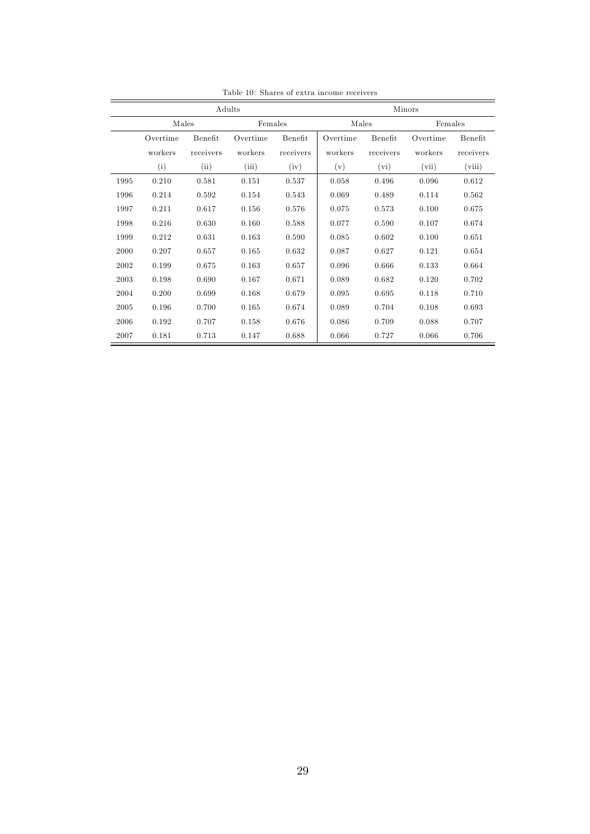|      |          |           | Adults   |           | Minors   |           |          |           |
|------|----------|-----------|----------|-----------|----------|-----------|----------|-----------|
|      | Males    |           | Females  |           | Males    |           | Females  |           |
|      | Overtime | Benefit   | Overtime | Benefit   | Overtime | Benefit   | Overtime | Benefit   |
|      | workers  | receivers | workers  | receivers | workers  | receivers | workers  | receivers |
|      | (i)      | (ii)      | (iii)    | (iv)      | (v)      | (vi)      | (vii)    | (viii)    |
| 1995 | 0.210    | 0.581     | 0.151    | 0.537     | 0.058    | 0.496     | 0.096    | 0.612     |
| 1996 | 0.214    | 0.592     | 0.154    | 0.543     | 0.069    | 0.489     | 0.114    | 0.562     |
| 1997 | 0.211    | 0.617     | 0.156    | 0.576     | 0.075    | 0.573     | 0.100    | 0.675     |
| 1998 | 0.216    | 0.630     | 0.160    | 0.588     | 0.077    | 0.590     | 0.107    | 0.674     |
| 1999 | 0.212    | 0.631     | 0.163    | 0.590     | 0.085    | 0.602     | 0.100    | 0.651     |
| 2000 | 0.207    | 0.657     | 0.165    | 0.632     | 0.087    | 0.627     | 0.121    | 0.654     |
| 2002 | 0.199    | 0.675     | 0.163    | 0.657     | 0.096    | 0.666     | 0.133    | 0.664     |
| 2003 | 0.198    | 0.690     | 0.167    | 0.671     | 0.089    | 0.682     | 0.120    | 0.702     |
| 2004 | 0.200    | 0.699     | 0.168    | 0.679     | 0.095    | 0.695     | 0.118    | 0.710     |
| 2005 | 0.196    | 0.700     | 0.165    | 0.674     | 0.089    | 0.704     | 0.108    | 0.693     |
| 2006 | 0.192    | 0.707     | 0.158    | 0.676     | 0.086    | 0.709     | 0.088    | 0.707     |
| 2007 | 0.181    | 0.713     | 0.147    | 0.688     | 0.066    | 0.727     | 0.066    | 0.706     |

Table 10: Shares of extra income receivers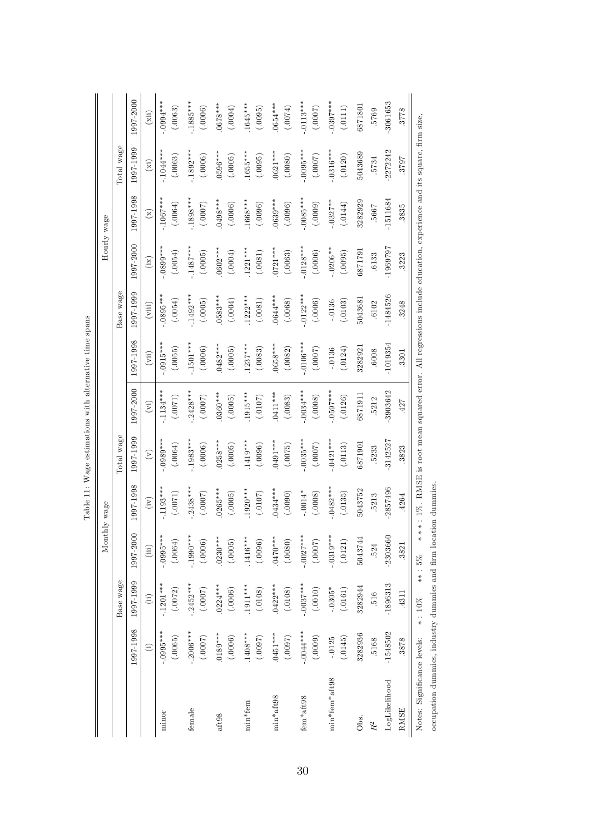|                             |               |                |             | Monthly wage                                                                                                       |                |                             |                              |            |              | Hourly wage  |                 |                       |
|-----------------------------|---------------|----------------|-------------|--------------------------------------------------------------------------------------------------------------------|----------------|-----------------------------|------------------------------|------------|--------------|--------------|-----------------|-----------------------|
|                             |               | Base wage      |             |                                                                                                                    | Total wage     |                             |                              | Base wage  |              |              | Total wage      |                       |
|                             | 1997-1998     | 1997-1999      | 1997-2000   | 997-1998                                                                                                           | 1997-1999      | 1997-2000                   | 1997-1998                    | 1997-1999  | 1997-2000    | 1997-1998    | 1997-1999       | 1997-2000             |
|                             | $\widehat{E}$ | $\overline{a}$ | (iii)       | $\binom{r}{r}$                                                                                                     | $\mathfrak{S}$ | $\left(\overline{v}\right)$ | $\left( \mathrm{vii}\right)$ | (viii)     | $\left($ ix) | $\mathbf{r}$ | $\binom{xi}{i}$ | (iii)                 |
| minor                       | $-0.095***$   | $-.1201***$    | $-.0995***$ | $1193***$                                                                                                          | $0.0989***$    | $-1134***$                  | $0.015***$                   | $0895***$  | $0.899***$   | $-1067***$   | $-1044***$      | $***$<br>$+3.0994***$ |
|                             | (.0065)       | (.0072)        | (.0064)     | (.0071)                                                                                                            | (.0064)        | (.0071)                     | (.0055)                      | (0.0054)   | (.0054)      | (.0064)      | (.0063)         | (.0063)               |
| female                      | $-.2006***$   | $-.2452***$    | $-.1990***$ | $2438***$                                                                                                          | $-1983***$     | $.2428***$                  | $-1501***$                   | $.1492***$ | $.1487***$   | $-1898***$   | $-1892***$      | $1885***$             |
|                             | (7000.)       | (7000.)        | (.0006)     | (7000.)                                                                                                            | (.0006)        | (7000.)                     | (.0006)                      | (.0005)    | (.0005)      | (7000.)      | (.0006)         | (.0006)               |
| $aft98$                     | $.0189***$    | $.0224***$     | $0230***$   | $0265***$                                                                                                          | $0258***$      | $0360***$                   | $0482***$                    | $0583***$  | $.0602***$   | $0498***$    | $0596***$       | $0678***$             |
|                             | (.0006)       | (.0006)        | (.0005)     | (.0005)                                                                                                            | (.0005)        | (.0005)                     | (.0005)                      | (6000.)    | (0.0004)     | (.0006)      | (.0005)         | (.0004)               |
| $min*fem$                   | 1408***       | $1911***$      | $.1416***$  | $1920***$                                                                                                          | $.1419***$     | 1915***                     | $1237***$                    | $1222***$  | $1221***$    | 1668***      | 1655***         | 1645****              |
|                             | (7600.)       | (.0108)        | (.0096)     | (.0107)                                                                                                            | (.0096)        | (.0107)                     | (.0083)                      | (.0081)    | (.0081)      | (.0096)      | (.0095)         | (.0095)               |
| min*aft98                   | $.0451***$    | $.0422***$     | $***0100$ . | 0434***                                                                                                            | $0491***$      | 0411***                     | $0658***$                    | $0.644***$ | $0721***$    | $0639***$    | $0621***$       | $0654***$             |
|                             | (7600.)       | (.0108)        | (.080)      | (.0090)                                                                                                            | (.0075)        | (.0083)                     | (.0082)                      | (.0068)    | (.0063)      | (.0096)      | (.0080)         | (.0074)               |
| fem*aft98                   | $-0044***$    | $-.0037***$    | $-.0027***$ | $-.0014*$                                                                                                          | $-0.035***$    | $0.034***$                  | $-.0106***$                  | $.0122***$ | $.0128***$   | $-.0085***$  | $-0095***$      | $-.0113***$           |
|                             | (0000)        | (.0010)        | (2000)      | (.0008)                                                                                                            | (7000.)        | (.0008)                     | (7000.)                      | (.0006)    | (.0006)      | (.0009)      | (.0007)         | (7000.)               |
| min*fem*aft98               | (.0145)       | $-.0305*$      | $-.0319***$ | $.0482***$                                                                                                         | $-.0421***$    | $-0597***$                  | (.0124)                      | (.0103)    | $-.0206**$   | $-0327**$    | $-0.316***$     | $-0307***$            |
|                             | $-.0125$      | (.0161)        | (.0121)     | (.0135)                                                                                                            | (.0113)        | (.0126)                     | $-0136$                      | $-.0136$   | (.0095)      | (.0144)      | (.0120)         | (.0111)               |
| Obs.                        | 3282936       | 3282944        | 5043744     | 5043752                                                                                                            | 6871901        | 6871911                     | 3282921                      | 5043681    | 6871791      | 3282929      | 5043689         | 6871801               |
| $\ensuremath{R^2}$          | 5168          | 516            | 524         | .5213                                                                                                              | .5233          | .5212                       | .6008                        | .6102      | .6133        | 7999         | 5734            | 5769                  |
| LogLikelihood               | $-1548502$    | $-1896313$     | $-2303660$  | -2857496                                                                                                           | 3142527        | -3903642                    | $-1019354$                   | $-1484526$ | -1969797     | 1511684      | 2272242         | 3061653               |
| <b>RMSE</b>                 | 3878          | .4311          | 3821        | .4264                                                                                                              | 3823           | .427                        | .3301                        | 3248       | 3223         | 3835         | 2628            | 3778                  |
| Notes: Significance levels: |               | $*$ : 10%      | $***:5%$    | ***: 1%. RMSE is noot mean squared error. All regressions include education, experience and its square, firm size, |                |                             |                              |            |              |              |                 |                       |

| j<br>$\frac{1}{2}$<br>ť      |
|------------------------------|
| l                            |
| i<br>Ì<br>$\frac{1}{2}$<br>į |
| -<br>-<br>-<br>í<br>í        |
| ĺ<br>$+ 100 - 100$           |
| 医骨膜炎 医骨膜炎<br>J<br>∃<br>i     |
| į<br>ì                       |
| ţ                            |

occupation dummies, industry dummies and Örm location dummies.

occupation dummies, industry dummies and firm location dummies.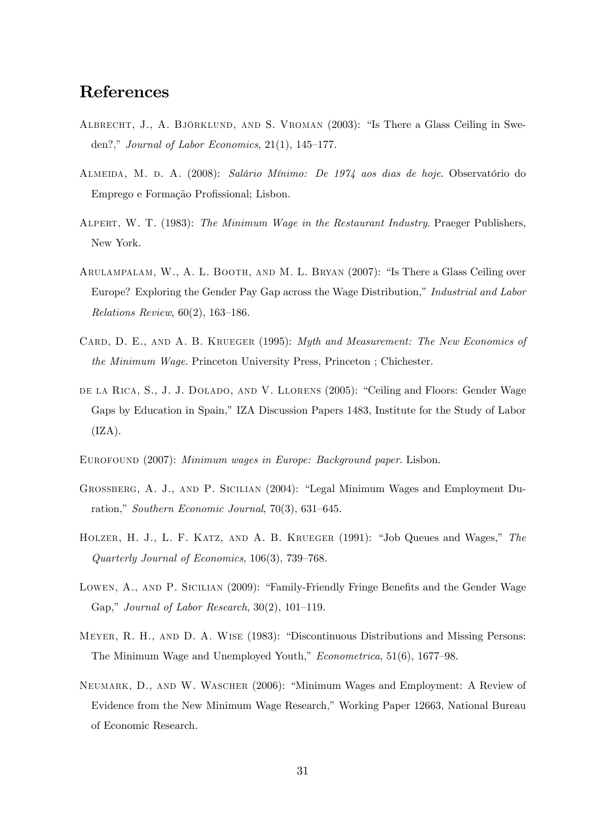### References

- ALBRECHT, J., A. BJÖRKLUND, AND S. VROMAN (2003): "Is There a Glass Ceiling in Sweden?," Journal of Labor Economics,  $21(1)$ ,  $145-177$ .
- ALMEIDA, M. D. A. (2008): Salário Mínimo: De 1974 aos dias de hoje. Observatório do Emprego e Formação Profissional; Lisbon.
- ALPERT, W. T. (1983): The Minimum Wage in the Restaurant Industry. Praeger Publishers, New York.
- ARULAMPALAM, W., A. L. BOOTH, AND M. L. BRYAN (2007): "Is There a Glass Ceiling over Europe? Exploring the Gender Pay Gap across the Wage Distribution," Industrial and Labor Relations Review,  $60(2)$ , 163–186.
- CARD, D. E., AND A. B. KRUEGER (1995): Myth and Measurement: The New Economics of the Minimum Wage. Princeton University Press, Princeton ; Chichester.
- DE LA RICA, S., J. J. DOLADO, AND V. LLORENS (2005): "Ceiling and Floors: Gender Wage Gaps by Education in Spain," IZA Discussion Papers 1483, Institute for the Study of Labor  $(IZA).$
- Eurofound (2007): Minimum wages in Europe: Background paper. Lisbon.
- GROSSBERG, A. J., AND P. SICILIAN (2004): "Legal Minimum Wages and Employment Duration," Southern Economic Journal, 70(3), 631-645.
- HOLZER, H. J., L. F. KATZ, AND A. B. KRUEGER  $(1991)$ : "Job Queues and Wages," The Quarterly Journal of Economics,  $106(3)$ , 739–768.
- LOWEN, A., AND P. SICILIAN (2009): "Family-Friendly Fringe Benefits and the Gender Wage Gap," Journal of Labor Research,  $30(2)$ ,  $101-119$ .
- MEYER, R. H., AND D. A. WISE (1983): "Discontinuous Distributions and Missing Persons: The Minimum Wage and Unemployed Youth,"  $Econometrica$ , 51(6), 1677-98.
- NEUMARK, D., AND W. WASCHER (2006): "Minimum Wages and Employment: A Review of Evidence from the New Minimum Wage Research," Working Paper 12663, National Bureau of Economic Research.